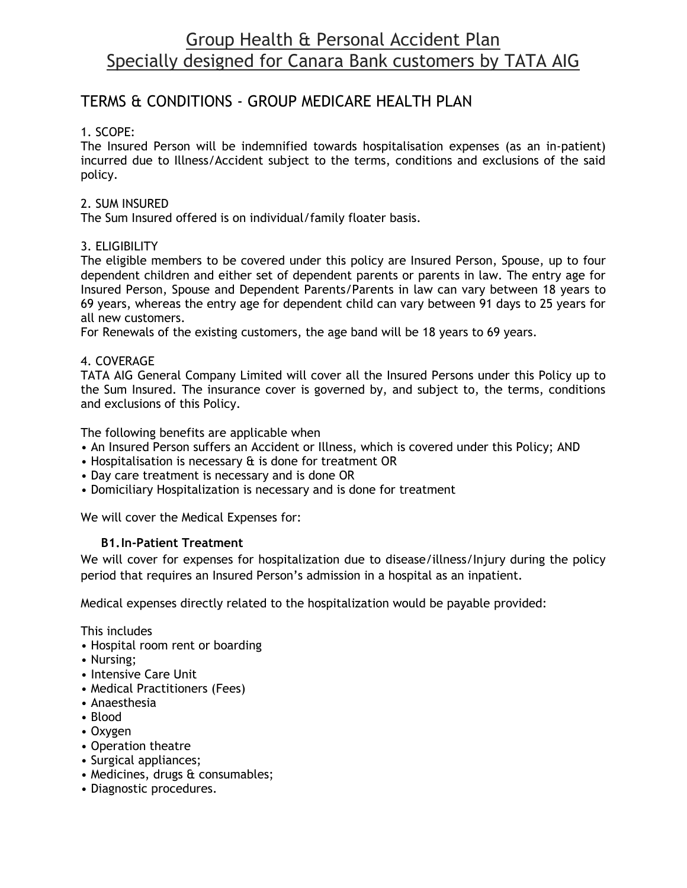# Group Health & Personal Accident Plan Specially designed for Canara Bank customers by TATA AIG

# TERMS & CONDITIONS - GROUP MEDICARE HEALTH PLAN

## 1. SCOPE:

The Insured Person will be indemnified towards hospitalisation expenses (as an in-patient) incurred due to Illness/Accident subject to the terms, conditions and exclusions of the said policy.

#### 2. SUM INSURED

The Sum Insured offered is on individual/family floater basis.

#### 3. ELIGIBILITY

The eligible members to be covered under this policy are Insured Person, Spouse, up to four dependent children and either set of dependent parents or parents in law. The entry age for Insured Person, Spouse and Dependent Parents/Parents in law can vary between 18 years to 69 years, whereas the entry age for dependent child can vary between 91 days to 25 years for all new customers.

For Renewals of the existing customers, the age band will be 18 years to 69 years.

#### 4. COVERAGE

TATA AIG General Company Limited will cover all the Insured Persons under this Policy up to the Sum Insured. The insurance cover is governed by, and subject to, the terms, conditions and exclusions of this Policy.

The following benefits are applicable when

- An Insured Person suffers an Accident or Illness, which is covered under this Policy; AND
- Hospitalisation is necessary & is done for treatment OR
- Day care treatment is necessary and is done OR
- Domiciliary Hospitalization is necessary and is done for treatment

We will cover the Medical Expenses for:

#### **B1.In-Patient Treatment**

We will cover for expenses for hospitalization due to disease/illness/Injury during the policy period that requires an Insured Person's admission in a hospital as an inpatient.

Medical expenses directly related to the hospitalization would be payable provided:

This includes

- Hospital room rent or boarding
- Nursing;
- Intensive Care Unit
- Medical Practitioners (Fees)
- Anaesthesia
- Blood
- Oxygen
- Operation theatre
- Surgical appliances;
- Medicines, drugs & consumables;
- Diagnostic procedures.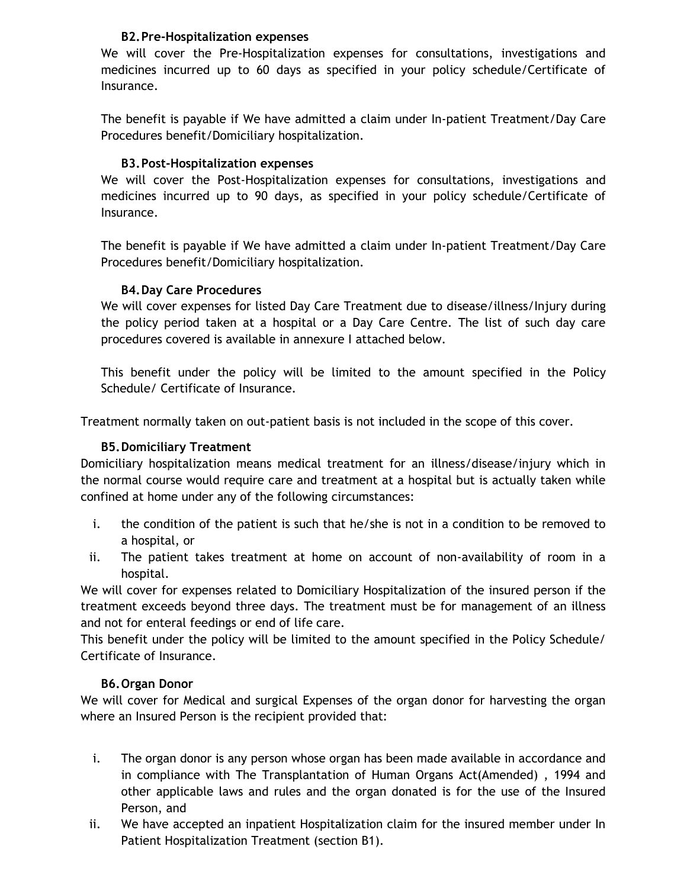#### **B2.Pre-Hospitalization expenses**

We will cover the Pre-Hospitalization expenses for consultations, investigations and medicines incurred up to 60 days as specified in your policy schedule/Certificate of Insurance.

The benefit is payable if We have admitted a claim under In-patient Treatment/Day Care Procedures benefit/Domiciliary hospitalization.

#### **B3.Post-Hospitalization expenses**

We will cover the Post-Hospitalization expenses for consultations, investigations and medicines incurred up to 90 days, as specified in your policy schedule/Certificate of Insurance.

The benefit is payable if We have admitted a claim under In-patient Treatment/Day Care Procedures benefit/Domiciliary hospitalization.

#### **B4.Day Care Procedures**

We will cover expenses for listed Day Care Treatment due to disease/illness/Injury during the policy period taken at a hospital or a Day Care Centre. The list of such day care procedures covered is available in annexure I attached below.

This benefit under the policy will be limited to the amount specified in the Policy Schedule/ Certificate of Insurance.

Treatment normally taken on out-patient basis is not included in the scope of this cover.

#### **B5.Domiciliary Treatment**

Domiciliary hospitalization means medical treatment for an illness/disease/injury which in the normal course would require care and treatment at a hospital but is actually taken while confined at home under any of the following circumstances:

- i. the condition of the patient is such that he/she is not in a condition to be removed to a hospital, or
- ii. The patient takes treatment at home on account of non-availability of room in a hospital.

We will cover for expenses related to Domiciliary Hospitalization of the insured person if the treatment exceeds beyond three days. The treatment must be for management of an illness and not for enteral feedings or end of life care.

This benefit under the policy will be limited to the amount specified in the Policy Schedule/ Certificate of Insurance.

#### **B6.Organ Donor**

We will cover for Medical and surgical Expenses of the organ donor for harvesting the organ where an Insured Person is the recipient provided that:

- i. The organ donor is any person whose organ has been made available in accordance and in compliance with The Transplantation of Human Organs Act(Amended) , 1994 and other applicable laws and rules and the organ donated is for the use of the Insured Person, and
- ii. We have accepted an inpatient Hospitalization claim for the insured member under In Patient Hospitalization Treatment (section B1).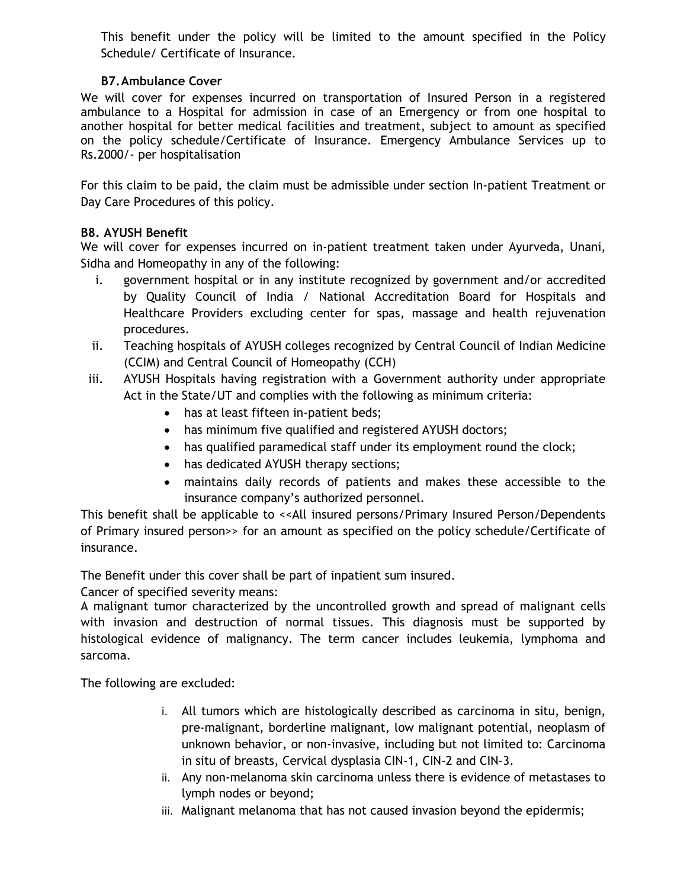This benefit under the policy will be limited to the amount specified in the Policy Schedule/ Certificate of Insurance.

## **B7.Ambulance Cover**

We will cover for expenses incurred on transportation of Insured Person in a registered ambulance to a Hospital for admission in case of an Emergency or from one hospital to another hospital for better medical facilities and treatment, subject to amount as specified on the policy schedule/Certificate of Insurance. Emergency Ambulance Services up to Rs.2000/- per hospitalisation

For this claim to be paid, the claim must be admissible under section In-patient Treatment or Day Care Procedures of this policy.

#### **B8. AYUSH Benefit**

We will cover for expenses incurred on in-patient treatment taken under Ayurveda, Unani, Sidha and Homeopathy in any of the following:

- i. government hospital or in any institute recognized by government and/or accredited by Quality Council of India / National Accreditation Board for Hospitals and Healthcare Providers excluding center for spas, massage and health rejuvenation procedures.
- ii. Teaching hospitals of AYUSH colleges recognized by Central Council of Indian Medicine (CCIM) and Central Council of Homeopathy (CCH)
- iii. AYUSH Hospitals having registration with a Government authority under appropriate Act in the State/UT and complies with the following as minimum criteria:
	- has at least fifteen in-patient beds;
	- has minimum five qualified and registered AYUSH doctors;
	- has qualified paramedical staff under its employment round the clock;
	- has dedicated AYUSH therapy sections;
	- maintains daily records of patients and makes these accessible to the insurance company's authorized personnel.

This benefit shall be applicable to <<All insured persons/Primary Insured Person/Dependents of Primary insured person>> for an amount as specified on the policy schedule/Certificate of insurance.

The Benefit under this cover shall be part of inpatient sum insured.

Cancer of specified severity means:

A malignant tumor characterized by the uncontrolled growth and spread of malignant cells with invasion and destruction of normal tissues. This diagnosis must be supported by histological evidence of malignancy. The term cancer includes leukemia, lymphoma and sarcoma.

The following are excluded:

- i. All tumors which are histologically described as carcinoma in situ, benign, pre-malignant, borderline malignant, low malignant potential, neoplasm of unknown behavior, or non-invasive, including but not limited to: Carcinoma in situ of breasts, Cervical dysplasia CIN-1, CIN-2 and CIN-3.
- ii. Any non-melanoma skin carcinoma unless there is evidence of metastases to lymph nodes or beyond;
- iii. Malignant melanoma that has not caused invasion beyond the epidermis;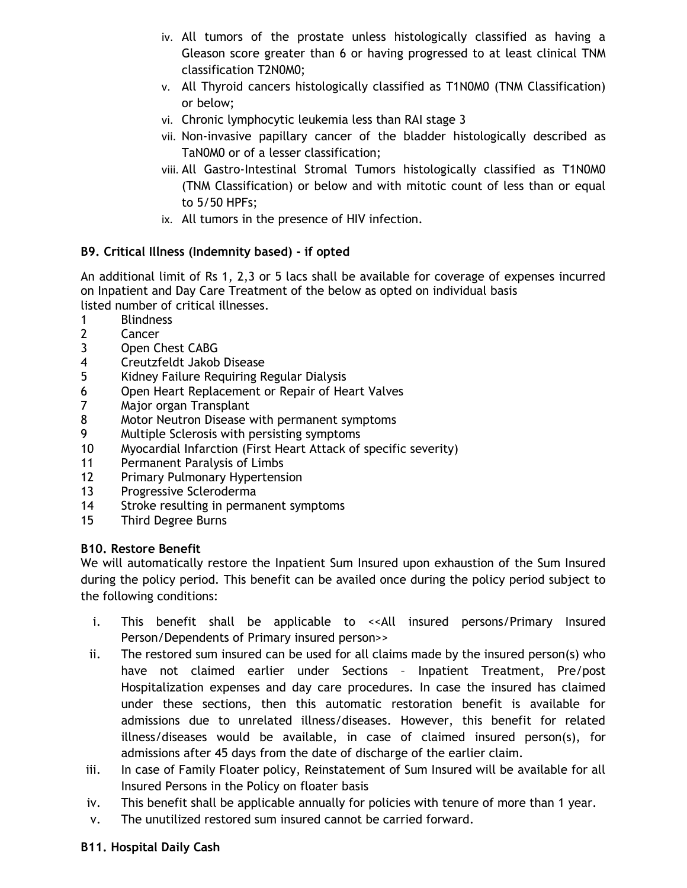- iv. All tumors of the prostate unless histologically classified as having a Gleason score greater than 6 or having progressed to at least clinical TNM classification T2N0M0;
- v. All Thyroid cancers histologically classified as T1N0M0 (TNM Classification) or below;
- vi. Chronic lymphocytic leukemia less than RAI stage 3
- vii. Non-invasive papillary cancer of the bladder histologically described as TaN0M0 or of a lesser classification;
- viii. All Gastro-Intestinal Stromal Tumors histologically classified as T1N0M0 (TNM Classification) or below and with mitotic count of less than or equal to 5/50 HPFs;
- ix. All tumors in the presence of HIV infection.

#### **B9. Critical Illness (Indemnity based) - if opted**

An additional limit of Rs 1, 2,3 or 5 lacs shall be available for coverage of expenses incurred on Inpatient and Day Care Treatment of the below as opted on individual basis listed number of critical illnesses.

- 1 Blindness
- 2 Cancer
- 3 Open Chest CABG
- 4 Creutzfeldt Jakob Disease
- 5 Kidney Failure Requiring Regular Dialysis
- 6 Open Heart Replacement or Repair of Heart Valves
- 7 Major organ Transplant
- 8 Motor Neutron Disease with permanent symptoms
- 9 Multiple Sclerosis with persisting symptoms
- 10 Myocardial Infarction (First Heart Attack of specific severity)
- 11 Permanent Paralysis of Limbs
- 12 Primary Pulmonary Hypertension
- 13 Progressive Scleroderma
- 14 Stroke resulting in permanent symptoms
- 15 Third Degree Burns

#### **B10. Restore Benefit**

We will automatically restore the Inpatient Sum Insured upon exhaustion of the Sum Insured during the policy period. This benefit can be availed once during the policy period subject to the following conditions:

- i. This benefit shall be applicable to <<All insured persons/Primary Insured Person/Dependents of Primary insured person>>
- ii. The restored sum insured can be used for all claims made by the insured person(s) who have not claimed earlier under Sections – Inpatient Treatment, Pre/post Hospitalization expenses and day care procedures. In case the insured has claimed under these sections, then this automatic restoration benefit is available for admissions due to unrelated illness/diseases. However, this benefit for related illness/diseases would be available, in case of claimed insured person(s), for admissions after 45 days from the date of discharge of the earlier claim.
- iii. In case of Family Floater policy, Reinstatement of Sum Insured will be available for all Insured Persons in the Policy on floater basis
- iv. This benefit shall be applicable annually for policies with tenure of more than 1 year.
- v. The unutilized restored sum insured cannot be carried forward.

#### **B11. Hospital Daily Cash**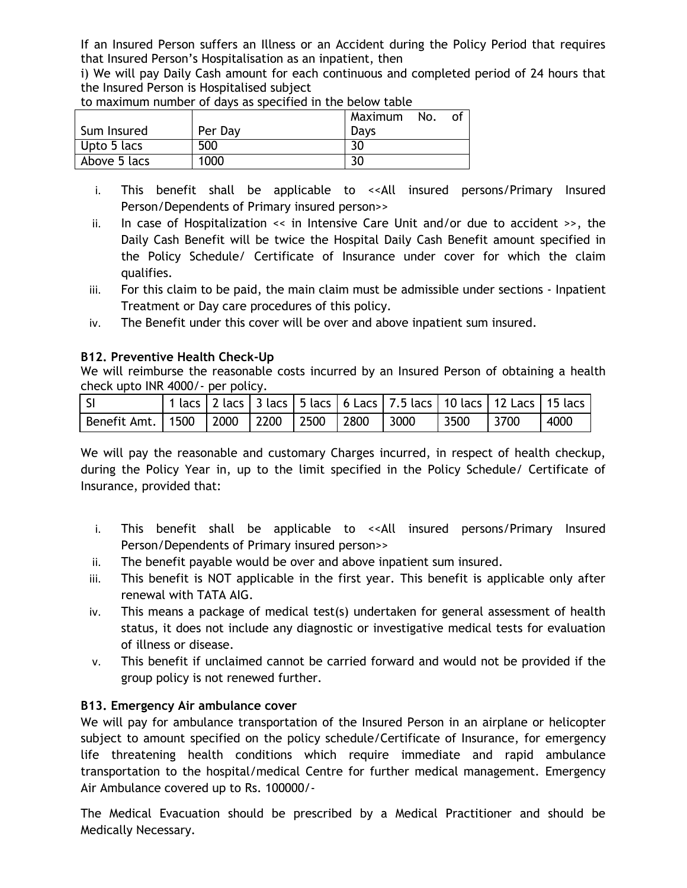If an Insured Person suffers an Illness or an Accident during the Policy Period that requires that Insured Person's Hospitalisation as an inpatient, then

i) We will pay Daily Cash amount for each continuous and completed period of 24 hours that the Insured Person is Hospitalised subject

| to maximum number or days as specified in the betow table |         |         |     |    |
|-----------------------------------------------------------|---------|---------|-----|----|
|                                                           |         | Maximum | No. | οf |
| Sum Insured                                               | Per Day | Davs    |     |    |
| I Upto 5 lacs                                             | 500     | 30      |     |    |
| Above 5 lacs                                              | 1000    | 30      |     |    |

to maximum number of days as specified in the below table

- i. This benefit shall be applicable to <<All insured persons/Primary Insured Person/Dependents of Primary insured person>>
- ii. In case of Hospitalization << in Intensive Care Unit and/or due to accident >>, the Daily Cash Benefit will be twice the Hospital Daily Cash Benefit amount specified in the Policy Schedule/ Certificate of Insurance under cover for which the claim qualifies.
- iii. For this claim to be paid, the main claim must be admissible under sections Inpatient Treatment or Day care procedures of this policy.
- iv. The Benefit under this cover will be over and above inpatient sum insured.

#### **B12. Preventive Health Check-Up**

We will reimburse the reasonable costs incurred by an Insured Person of obtaining a health check upto INR 4000/- per policy.

| l si                                            |  |  | 1 lacs   2 lacs   3 lacs   5 lacs   6 Lacs   7.5 lacs   10 lacs   12 Lacs   15 lacs |             |      |
|-------------------------------------------------|--|--|-------------------------------------------------------------------------------------|-------------|------|
| Benefit Amt.   1500   2000   2200   2500   2800 |  |  | 3000                                                                                | 3500   3700 | 4000 |

We will pay the reasonable and customary Charges incurred, in respect of health checkup, during the Policy Year in, up to the limit specified in the Policy Schedule/ Certificate of Insurance, provided that:

- i. This benefit shall be applicable to << All insured persons/Primary Insured Person/Dependents of Primary insured person>>
- ii. The benefit payable would be over and above inpatient sum insured.
- iii. This benefit is NOT applicable in the first year. This benefit is applicable only after renewal with TATA AIG.
- iv. This means a package of medical test(s) undertaken for general assessment of health status, it does not include any diagnostic or investigative medical tests for evaluation of illness or disease.
- v. This benefit if unclaimed cannot be carried forward and would not be provided if the group policy is not renewed further.

## **B13. Emergency Air ambulance cover**

We will pay for ambulance transportation of the Insured Person in an airplane or helicopter subject to amount specified on the policy schedule/Certificate of Insurance, for emergency life threatening health conditions which require immediate and rapid ambulance transportation to the hospital/medical Centre for further medical management. Emergency Air Ambulance covered up to Rs. 100000/-

The Medical Evacuation should be prescribed by a Medical Practitioner and should be Medically Necessary.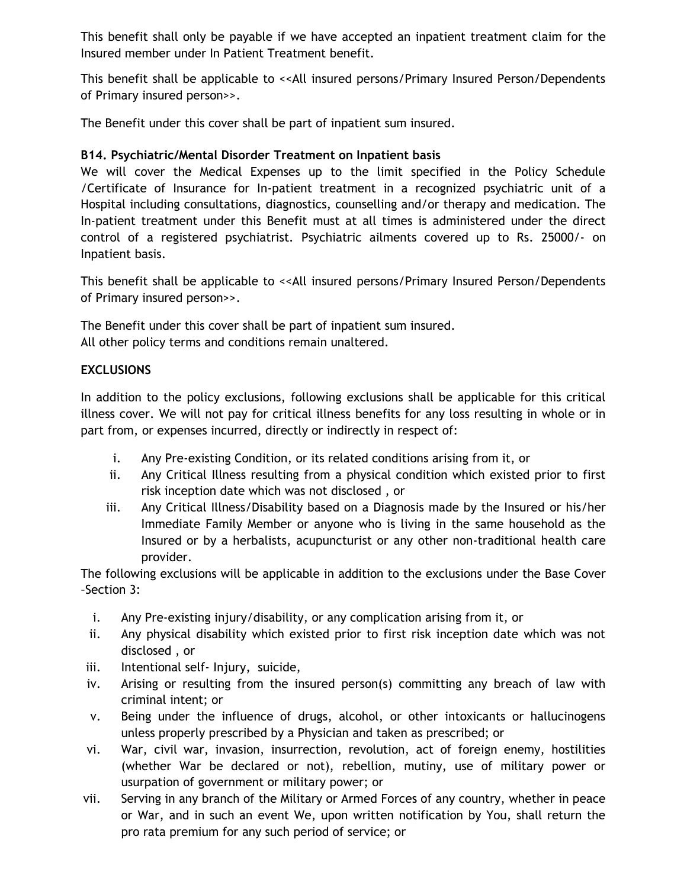This benefit shall only be payable if we have accepted an inpatient treatment claim for the Insured member under In Patient Treatment benefit.

This benefit shall be applicable to << All insured persons/Primary Insured Person/Dependents of Primary insured person>>.

The Benefit under this cover shall be part of inpatient sum insured.

## **B14. Psychiatric/Mental Disorder Treatment on Inpatient basis**

We will cover the Medical Expenses up to the limit specified in the Policy Schedule /Certificate of Insurance for In-patient treatment in a recognized psychiatric unit of a Hospital including consultations, diagnostics, counselling and/or therapy and medication. The In-patient treatment under this Benefit must at all times is administered under the direct control of a registered psychiatrist. Psychiatric ailments covered up to Rs. 25000/- on Inpatient basis.

This benefit shall be applicable to <<All insured persons/Primary Insured Person/Dependents of Primary insured person>>.

The Benefit under this cover shall be part of inpatient sum insured. All other policy terms and conditions remain unaltered.

## **EXCLUSIONS**

In addition to the policy exclusions, following exclusions shall be applicable for this critical illness cover. We will not pay for critical illness benefits for any loss resulting in whole or in part from, or expenses incurred, directly or indirectly in respect of:

- i. Any Pre-existing Condition, or its related conditions arising from it, or
- ii. Any Critical Illness resulting from a physical condition which existed prior to first risk inception date which was not disclosed , or
- iii. Any Critical Illness/Disability based on a Diagnosis made by the Insured or his/her Immediate Family Member or anyone who is living in the same household as the Insured or by a herbalists, acupuncturist or any other non-traditional health care provider.

The following exclusions will be applicable in addition to the exclusions under the Base Cover –Section 3:

- i. Any Pre-existing injury/disability, or any complication arising from it, or
- ii. Any physical disability which existed prior to first risk inception date which was not disclosed , or
- iii. Intentional self- Injury, suicide,
- iv. Arising or resulting from the insured person(s) committing any breach of law with criminal intent; or
- v. Being under the influence of drugs, alcohol, or other intoxicants or hallucinogens unless properly prescribed by a Physician and taken as prescribed; or
- vi. War, civil war, invasion, insurrection, revolution, act of foreign enemy, hostilities (whether War be declared or not), rebellion, mutiny, use of military power or usurpation of government or military power; or
- vii. Serving in any branch of the Military or Armed Forces of any country, whether in peace or War, and in such an event We, upon written notification by You, shall return the pro rata premium for any such period of service; or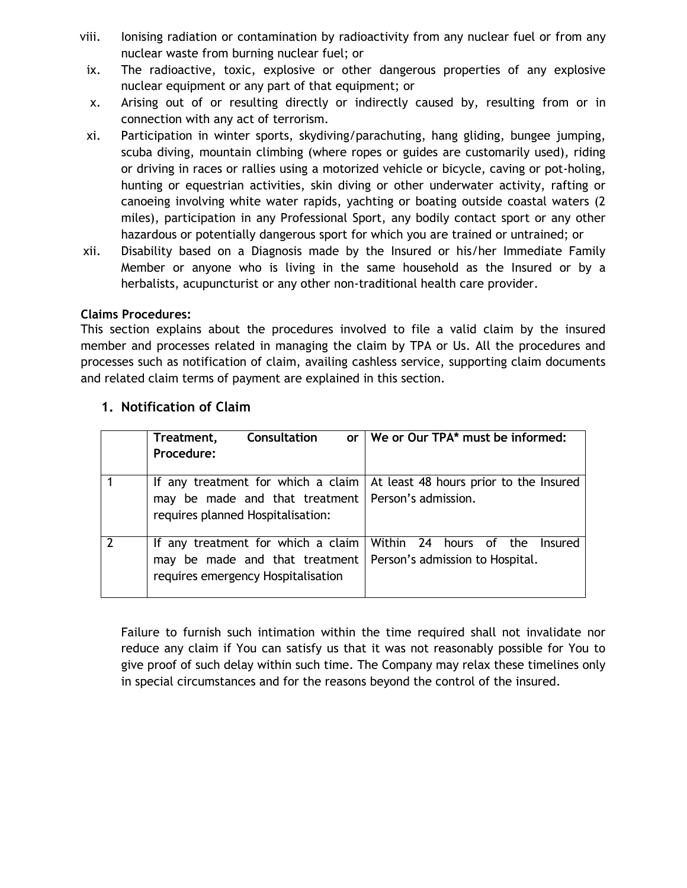- viii. Ionising radiation or contamination by radioactivity from any nuclear fuel or from any nuclear waste from burning nuclear fuel; or
- ix. The radioactive, toxic, explosive or other dangerous properties of any explosive nuclear equipment or any part of that equipment; or
- x. Arising out of or resulting directly or indirectly caused by, resulting from or in connection with any act of terrorism.
- xi. Participation in winter sports, skydiving/parachuting, hang gliding, bungee jumping, scuba diving, mountain climbing (where ropes or guides are customarily used), riding or driving in races or rallies using a motorized vehicle or bicycle, caving or pot-holing, hunting or equestrian activities, skin diving or other underwater activity, rafting or canoeing involving white water rapids, yachting or boating outside coastal waters (2 miles), participation in any Professional Sport, any bodily contact sport or any other hazardous or potentially dangerous sport for which you are trained or untrained; or
- xii. Disability based on a Diagnosis made by the Insured or his/her Immediate Family Member or anyone who is living in the same household as the Insured or by a herbalists, acupuncturist or any other non-traditional health care provider.

## **Claims Procedures:**

This section explains about the procedures involved to file a valid claim by the insured member and processes related in managing the claim by TPA or Us. All the procedures and processes such as notification of claim, availing cashless service, supporting claim documents and related claim terms of payment are explained in this section.

| Consultation<br>Treatment,<br><b>or</b><br>Procedure:                                                                           | We or Our TPA* must be informed:                                     |
|---------------------------------------------------------------------------------------------------------------------------------|----------------------------------------------------------------------|
| If any treatment for which a claim<br>may be made and that treatment   Person's admission.<br>requires planned Hospitalisation: | At least 48 hours prior to the Insured                               |
| If any treatment for which a claim<br>may be made and that treatment<br>requires emergency Hospitalisation                      | Within 24 hours of the<br>Insured<br>Person's admission to Hospital. |

## **1. Notification of Claim**

Failure to furnish such intimation within the time required shall not invalidate nor reduce any claim if You can satisfy us that it was not reasonably possible for You to give proof of such delay within such time. The Company may relax these timelines only in special circumstances and for the reasons beyond the control of the insured.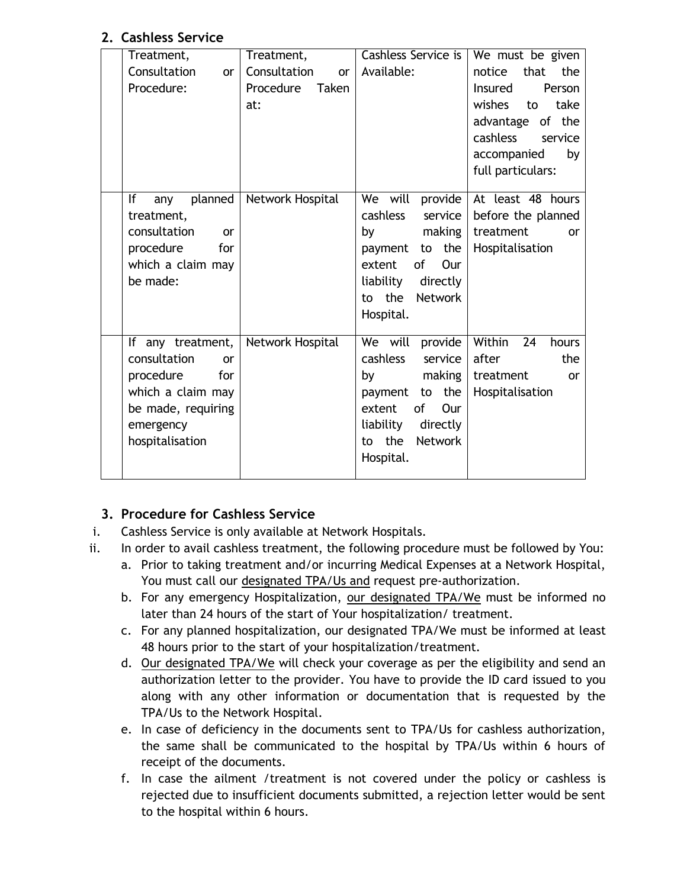# **2. Cashless Service**

| Treatment,                    | Treatment,                | Cashless Service is            | We must be given                                 |
|-------------------------------|---------------------------|--------------------------------|--------------------------------------------------|
| Consultation<br><b>or</b>     | Consultation<br><b>or</b> | Available:                     | that the<br>notice                               |
| Procedure:                    | Procedure<br>Taken        |                                | <b>Insured</b><br><b>Person</b>                  |
|                               | at:                       |                                | wishes<br>take<br>to                             |
|                               |                           |                                | advantage of the                                 |
|                               |                           |                                | <b>cashless</b><br>service                       |
|                               |                           |                                | accompanied<br>by                                |
|                               |                           |                                | full particulars:                                |
|                               |                           |                                |                                                  |
| planned<br>lf<br>any          | Network Hospital          |                                | We will provide   At least $\overline{48}$ hours |
| treatment,                    |                           | cashless<br>service            | before the planned                               |
| consultation<br><sub>or</sub> |                           | making<br>by                   | treatment<br><b>or</b>                           |
| procedure<br>for              |                           | payment to the                 | Hospitalisation                                  |
| which a claim may             |                           | of<br>Our<br>extent            |                                                  |
| be made:                      |                           | liability<br>directly          |                                                  |
|                               |                           | to the<br>Network              |                                                  |
|                               |                           | Hospital.                      |                                                  |
|                               |                           |                                |                                                  |
| If any treatment,             | Network Hospital          | We will provide                | Within 24<br>hours                               |
| consultation<br><sub>or</sub> |                           | cashless<br>service            | after<br>the                                     |
| procedure<br>for              |                           | making<br>by                   | treatment<br><b>or</b>                           |
| which a claim may             |                           | to the<br>payment              | Hospitalisation                                  |
| be made, requiring            |                           | $\mathsf{of}$<br>extent<br>Our |                                                  |
| emergency                     |                           | liability<br>directly          |                                                  |
| hospitalisation               |                           | to the<br><b>Network</b>       |                                                  |
|                               |                           | Hospital.                      |                                                  |
|                               |                           |                                |                                                  |
|                               |                           |                                |                                                  |

# **3. Procedure for Cashless Service**

- i. Cashless Service is only available at Network Hospitals.
- ii. In order to avail cashless treatment, the following procedure must be followed by You:
	- a. Prior to taking treatment and/or incurring Medical Expenses at a Network Hospital, You must call our designated TPA/Us and request pre-authorization.
	- b. For any emergency Hospitalization, our designated TPA/We must be informed no later than 24 hours of the start of Your hospitalization/ treatment.
	- c. For any planned hospitalization, our designated TPA/We must be informed at least 48 hours prior to the start of your hospitalization/treatment.
	- d. Our designated TPA/We will check your coverage as per the eligibility and send an authorization letter to the provider. You have to provide the ID card issued to you along with any other information or documentation that is requested by the TPA/Us to the Network Hospital.
	- e. In case of deficiency in the documents sent to TPA/Us for cashless authorization, the same shall be communicated to the hospital by TPA/Us within 6 hours of receipt of the documents.
	- f. In case the ailment /treatment is not covered under the policy or cashless is rejected due to insufficient documents submitted, a rejection letter would be sent to the hospital within 6 hours.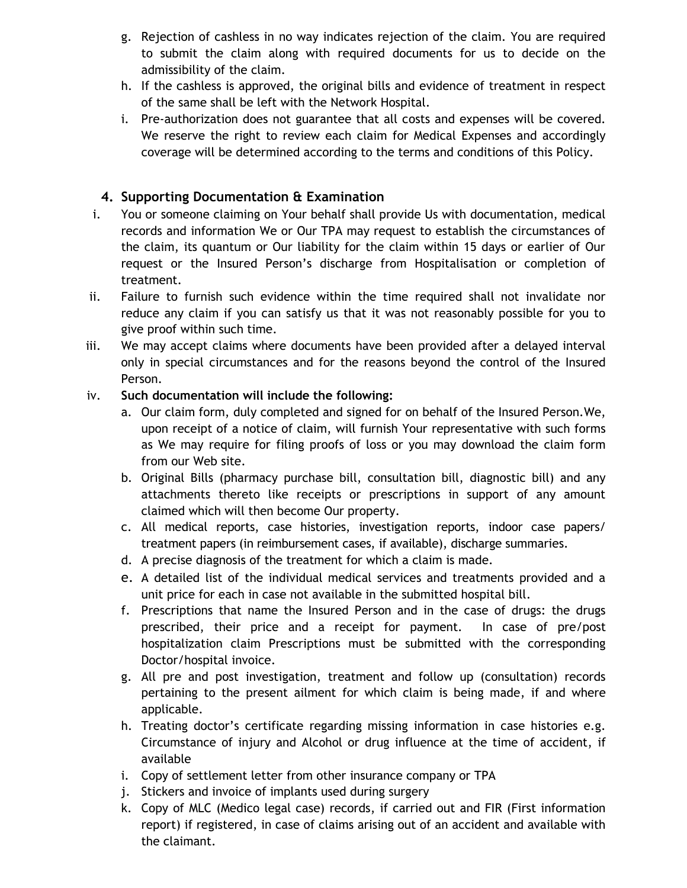- g. Rejection of cashless in no way indicates rejection of the claim. You are required to submit the claim along with required documents for us to decide on the admissibility of the claim.
- h. If the cashless is approved, the original bills and evidence of treatment in respect of the same shall be left with the Network Hospital.
- i. Pre-authorization does not guarantee that all costs and expenses will be covered. We reserve the right to review each claim for Medical Expenses and accordingly coverage will be determined according to the terms and conditions of this Policy.

# **4. Supporting Documentation & Examination**

- i. You or someone claiming on Your behalf shall provide Us with documentation, medical records and information We or Our TPA may request to establish the circumstances of the claim, its quantum or Our liability for the claim within 15 days or earlier of Our request or the Insured Person's discharge from Hospitalisation or completion of treatment.
- ii. Failure to furnish such evidence within the time required shall not invalidate nor reduce any claim if you can satisfy us that it was not reasonably possible for you to give proof within such time.
- iii. We may accept claims where documents have been provided after a delayed interval only in special circumstances and for the reasons beyond the control of the Insured Person.

## iv. **Such documentation will include the following:**

- a. Our claim form, duly completed and signed for on behalf of the Insured Person.We, upon receipt of a notice of claim, will furnish Your representative with such forms as We may require for filing proofs of loss or you may download the claim form from our Web site.
- b. Original Bills (pharmacy purchase bill, consultation bill, diagnostic bill) and any attachments thereto like receipts or prescriptions in support of any amount claimed which will then become Our property.
- c. All medical reports, case histories, investigation reports, indoor case papers/ treatment papers (in reimbursement cases, if available), discharge summaries.
- d. A precise diagnosis of the treatment for which a claim is made.
- e. A detailed list of the individual medical services and treatments provided and a unit price for each in case not available in the submitted hospital bill.
- f. Prescriptions that name the Insured Person and in the case of drugs: the drugs prescribed, their price and a receipt for payment. In case of pre/post hospitalization claim Prescriptions must be submitted with the corresponding Doctor/hospital invoice.
- g. All pre and post investigation, treatment and follow up (consultation) records pertaining to the present ailment for which claim is being made, if and where applicable.
- h. Treating doctor's certificate regarding missing information in case histories e.g. Circumstance of injury and Alcohol or drug influence at the time of accident, if available
- i. Copy of settlement letter from other insurance company or TPA
- j. Stickers and invoice of implants used during surgery
- k. Copy of MLC (Medico legal case) records, if carried out and FIR (First information report) if registered, in case of claims arising out of an accident and available with the claimant.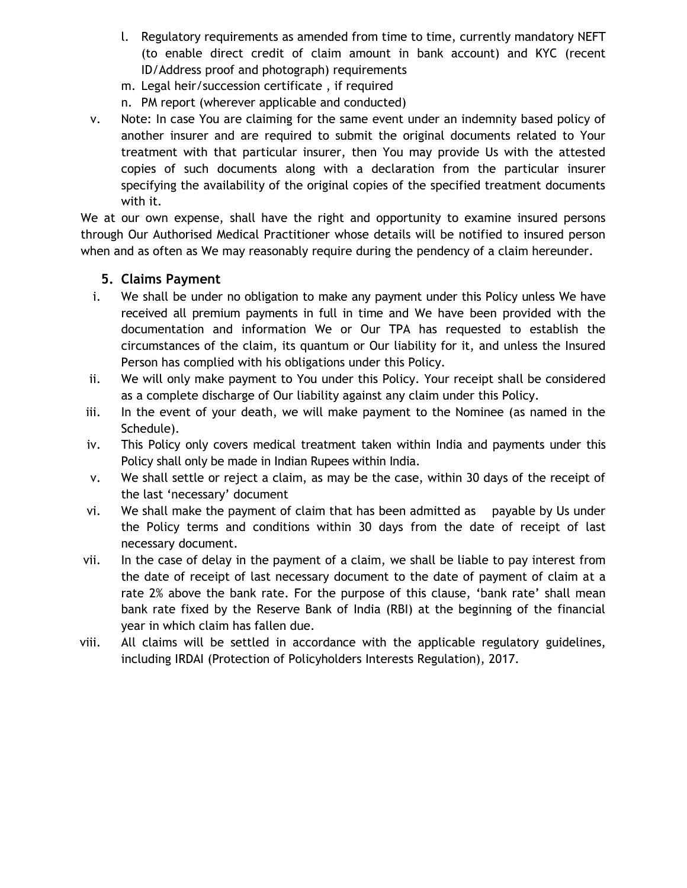- l. Regulatory requirements as amended from time to time, currently mandatory NEFT (to enable direct credit of claim amount in bank account) and KYC (recent ID/Address proof and photograph) requirements
- m. Legal heir/succession certificate , if required
- n. PM report (wherever applicable and conducted)
- v. Note: In case You are claiming for the same event under an indemnity based policy of another insurer and are required to submit the original documents related to Your treatment with that particular insurer, then You may provide Us with the attested copies of such documents along with a declaration from the particular insurer specifying the availability of the original copies of the specified treatment documents with it.

We at our own expense, shall have the right and opportunity to examine insured persons through Our Authorised Medical Practitioner whose details will be notified to insured person when and as often as We may reasonably require during the pendency of a claim hereunder.

## **5. Claims Payment**

- i. We shall be under no obligation to make any payment under this Policy unless We have received all premium payments in full in time and We have been provided with the documentation and information We or Our TPA has requested to establish the circumstances of the claim, its quantum or Our liability for it, and unless the Insured Person has complied with his obligations under this Policy.
- ii. We will only make payment to You under this Policy. Your receipt shall be considered as a complete discharge of Our liability against any claim under this Policy.
- iii. In the event of your death, we will make payment to the Nominee (as named in the Schedule).
- iv. This Policy only covers medical treatment taken within India and payments under this Policy shall only be made in Indian Rupees within India.
- v. We shall settle or reject a claim, as may be the case, within 30 days of the receipt of the last 'necessary' document
- vi. We shall make the payment of claim that has been admitted as payable by Us under the Policy terms and conditions within 30 days from the date of receipt of last necessary document.
- vii. In the case of delay in the payment of a claim, we shall be liable to pay interest from the date of receipt of last necessary document to the date of payment of claim at a rate 2% above the bank rate. For the purpose of this clause, 'bank rate' shall mean bank rate fixed by the Reserve Bank of India (RBI) at the beginning of the financial year in which claim has fallen due.
- viii. All claims will be settled in accordance with the applicable regulatory guidelines, including IRDAI (Protection of Policyholders Interests Regulation), 2017.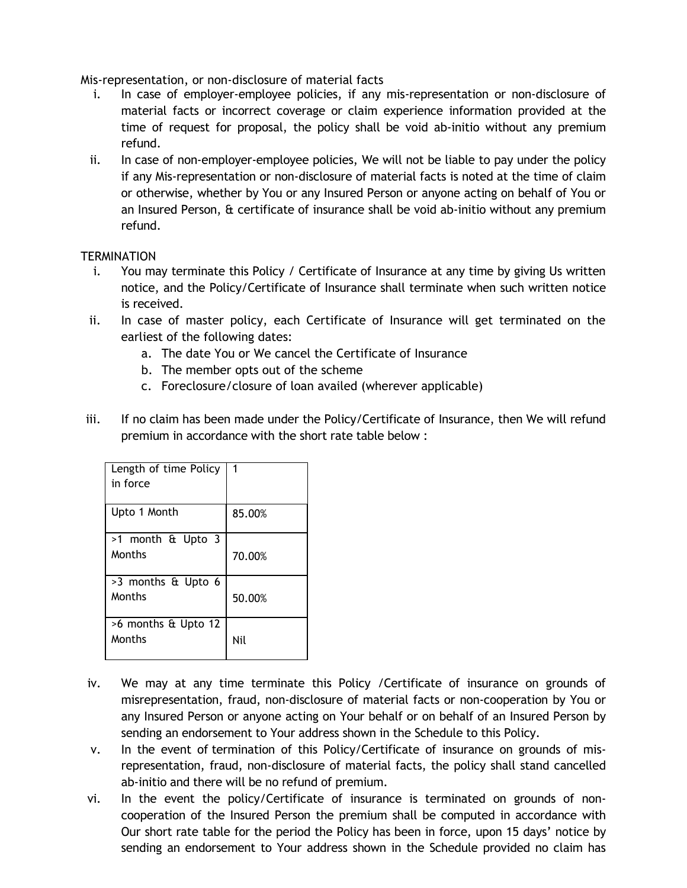Mis-representation, or non-disclosure of material facts

- i. In case of employer-employee policies, if any mis-representation or non-disclosure of material facts or incorrect coverage or claim experience information provided at the time of request for proposal, the policy shall be void ab-initio without any premium refund.
- ii. In case of non-employer-employee policies, We will not be liable to pay under the policy if any Mis-representation or non-disclosure of material facts is noted at the time of claim or otherwise, whether by You or any Insured Person or anyone acting on behalf of You or an Insured Person, & certificate of insurance shall be void ab-initio without any premium refund.

#### **TERMINATION**

- i. You may terminate this Policy / Certificate of Insurance at any time by giving Us written notice, and the Policy/Certificate of Insurance shall terminate when such written notice is received.
- ii. In case of master policy, each Certificate of Insurance will get terminated on the earliest of the following dates:
	- a. The date You or We cancel the Certificate of Insurance
	- b. The member opts out of the scheme
	- c. Foreclosure/closure of loan availed (wherever applicable)
- iii. If no claim has been made under the Policy/Certificate of Insurance, then We will refund premium in accordance with the short rate table below :

| Length of time Policy<br>in force |        |
|-----------------------------------|--------|
| Upto 1 Month                      | 85.00% |
| >1 month & Upto 3<br>Months       | 70.00% |
| >3 months & Upto 6<br>Months      | 50.00% |
| >6 months & Upto 12<br>Months     | Nil    |

- iv. We may at any time terminate this Policy /Certificate of insurance on grounds of misrepresentation, fraud, non-disclosure of material facts or non-cooperation by You or any Insured Person or anyone acting on Your behalf or on behalf of an Insured Person by sending an endorsement to Your address shown in the Schedule to this Policy.
- v. In the event of termination of this Policy/Certificate of insurance on grounds of misrepresentation, fraud, non-disclosure of material facts, the policy shall stand cancelled ab-initio and there will be no refund of premium.
- vi. In the event the policy/Certificate of insurance is terminated on grounds of noncooperation of the Insured Person the premium shall be computed in accordance with Our short rate table for the period the Policy has been in force, upon 15 days' notice by sending an endorsement to Your address shown in the Schedule provided no claim has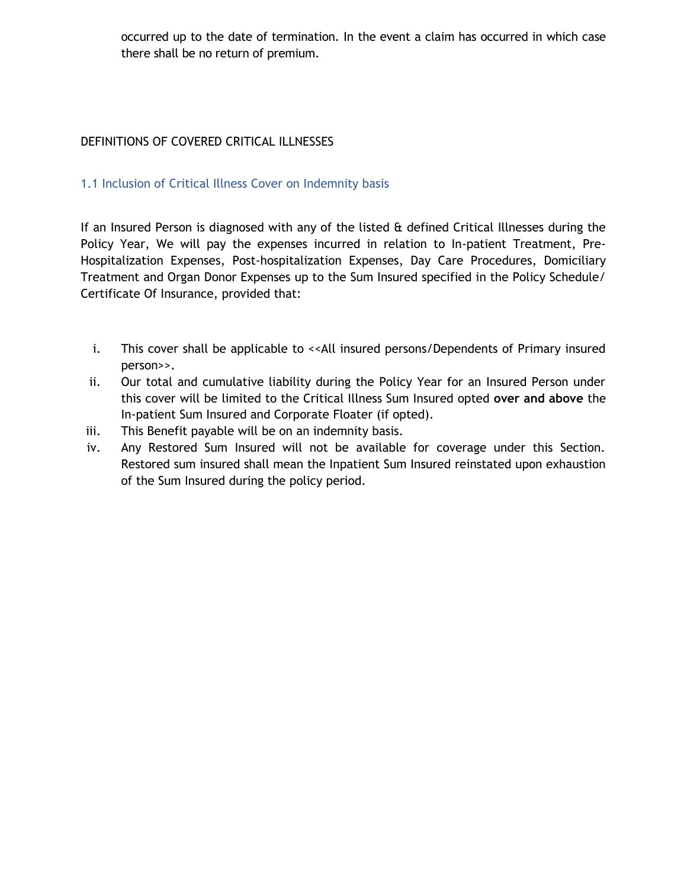occurred up to the date of termination. In the event a claim has occurred in which case there shall be no return of premium.

## DEFINITIONS OF COVERED CRITICAL ILLNESSES

#### 1.1 Inclusion of Critical Illness Cover on Indemnity basis

If an Insured Person is diagnosed with any of the listed & defined Critical Illnesses during the Policy Year, We will pay the expenses incurred in relation to In-patient Treatment, Pre-Hospitalization Expenses, Post-hospitalization Expenses, Day Care Procedures, Domiciliary Treatment and Organ Donor Expenses up to the Sum Insured specified in the Policy Schedule/ Certificate Of Insurance, provided that:

- i. This cover shall be applicable to << All insured persons/Dependents of Primary insured person>>.
- ii. Our total and cumulative liability during the Policy Year for an Insured Person under this cover will be limited to the Critical Illness Sum Insured opted **over and above** the In-patient Sum Insured and Corporate Floater (if opted).
- iii. This Benefit payable will be on an indemnity basis.
- iv. Any Restored Sum Insured will not be available for coverage under this Section. Restored sum insured shall mean the Inpatient Sum Insured reinstated upon exhaustion of the Sum Insured during the policy period.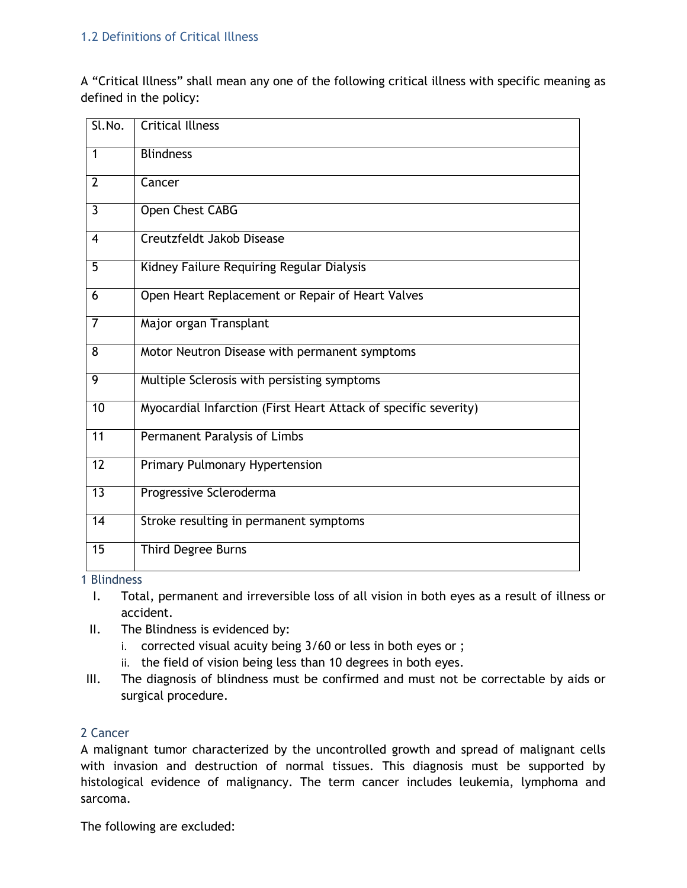#### 1.2 Definitions of Critical Illness

A "Critical Illness" shall mean any one of the following critical illness with specific meaning as defined in the policy:

| Sl.No.          | <b>Critical Illness</b>                                         |
|-----------------|-----------------------------------------------------------------|
| $\mathbf{1}$    | <b>Blindness</b>                                                |
| $\overline{2}$  | Cancer                                                          |
| 3               | Open Chest CABG                                                 |
| 4               | Creutzfeldt Jakob Disease                                       |
| 5               | Kidney Failure Requiring Regular Dialysis                       |
| 6               | Open Heart Replacement or Repair of Heart Valves                |
| $\overline{7}$  | Major organ Transplant                                          |
| 8               | Motor Neutron Disease with permanent symptoms                   |
| 9               | Multiple Sclerosis with persisting symptoms                     |
| 10              | Myocardial Infarction (First Heart Attack of specific severity) |
| $\overline{11}$ | Permanent Paralysis of Limbs                                    |
| $\overline{12}$ | Primary Pulmonary Hypertension                                  |
| $\overline{13}$ | Progressive Scleroderma                                         |
| 14              | Stroke resulting in permanent symptoms                          |
| 15              | Third Degree Burns                                              |

#### 1 Blindness

- I. Total, permanent and irreversible loss of all vision in both eyes as a result of illness or accident.
- II. The Blindness is evidenced by:
	- i. corrected visual acuity being 3/60 or less in both eyes or ;
	- ii. the field of vision being less than 10 degrees in both eyes.
- III. The diagnosis of blindness must be confirmed and must not be correctable by aids or surgical procedure.

#### 2 Cancer

A malignant tumor characterized by the uncontrolled growth and spread of malignant cells with invasion and destruction of normal tissues. This diagnosis must be supported by histological evidence of malignancy. The term cancer includes leukemia, lymphoma and sarcoma.

The following are excluded: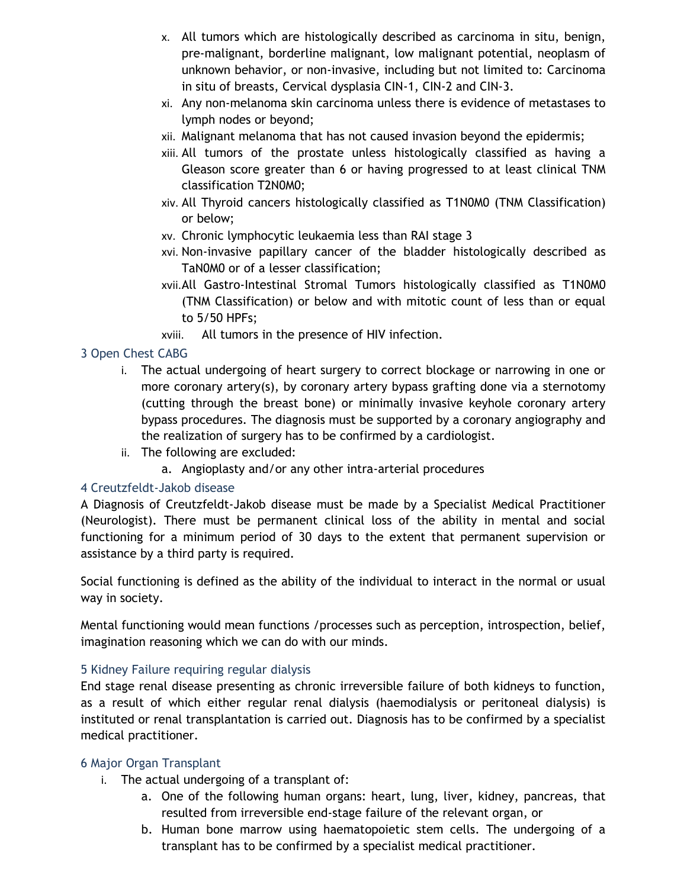- x. All tumors which are histologically described as carcinoma in situ, benign, pre-malignant, borderline malignant, low malignant potential, neoplasm of unknown behavior, or non-invasive, including but not limited to: Carcinoma in situ of breasts, Cervical dysplasia CIN-1, CIN-2 and CIN-3.
- xi. Any non-melanoma skin carcinoma unless there is evidence of metastases to lymph nodes or beyond;
- xii. Malignant melanoma that has not caused invasion beyond the epidermis;
- xiii. All tumors of the prostate unless histologically classified as having a Gleason score greater than 6 or having progressed to at least clinical TNM classification T2N0M0;
- xiv. All Thyroid cancers histologically classified as T1N0M0 (TNM Classification) or below;
- xv. Chronic lymphocytic leukaemia less than RAI stage 3
- xvi. Non-invasive papillary cancer of the bladder histologically described as TaN0M0 or of a lesser classification;
- xvii.All Gastro-Intestinal Stromal Tumors histologically classified as T1N0M0 (TNM Classification) or below and with mitotic count of less than or equal to 5/50 HPFs;
- xviii. All tumors in the presence of HIV infection.

## 3 Open Chest CABG

- i. The actual undergoing of heart surgery to correct blockage or narrowing in one or more coronary artery(s), by coronary artery bypass grafting done via a sternotomy (cutting through the breast bone) or minimally invasive keyhole coronary artery bypass procedures. The diagnosis must be supported by a coronary angiography and the realization of surgery has to be confirmed by a cardiologist.
- ii. The following are excluded:
	- a. Angioplasty and/or any other intra-arterial procedures

## 4 Creutzfeldt-Jakob disease

A Diagnosis of Creutzfeldt-Jakob disease must be made by a Specialist Medical Practitioner (Neurologist). There must be permanent clinical loss of the ability in mental and social functioning for a minimum period of 30 days to the extent that permanent supervision or assistance by a third party is required.

Social functioning is defined as the ability of the individual to interact in the normal or usual way in society.

Mental functioning would mean functions /processes such as perception, introspection, belief, imagination reasoning which we can do with our minds.

## 5 Kidney Failure requiring regular dialysis

End stage renal disease presenting as chronic irreversible failure of both kidneys to function, as a result of which either regular renal dialysis (haemodialysis or peritoneal dialysis) is instituted or renal transplantation is carried out. Diagnosis has to be confirmed by a specialist medical practitioner.

## 6 Major Organ Transplant

- i. The actual undergoing of a transplant of:
	- a. One of the following human organs: heart, lung, liver, kidney, pancreas, that resulted from irreversible end-stage failure of the relevant organ, or
	- b. Human bone marrow using haematopoietic stem cells. The undergoing of a transplant has to be confirmed by a specialist medical practitioner.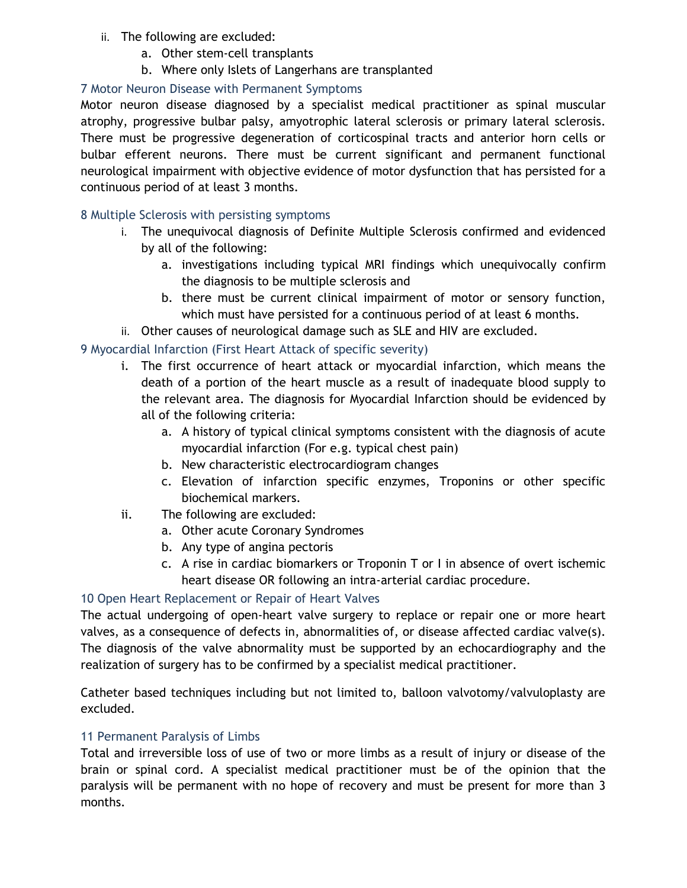- ii. The following are excluded:
	- a. Other stem-cell transplants
	- b. Where only Islets of Langerhans are transplanted

## 7 Motor Neuron Disease with Permanent Symptoms

Motor neuron disease diagnosed by a specialist medical practitioner as spinal muscular atrophy, progressive bulbar palsy, amyotrophic lateral sclerosis or primary lateral sclerosis. There must be progressive degeneration of corticospinal tracts and anterior horn cells or bulbar efferent neurons. There must be current significant and permanent functional neurological impairment with objective evidence of motor dysfunction that has persisted for a continuous period of at least 3 months.

## 8 Multiple Sclerosis with persisting symptoms

- i. The unequivocal diagnosis of Definite Multiple Sclerosis confirmed and evidenced by all of the following:
	- a. investigations including typical MRI findings which unequivocally confirm the diagnosis to be multiple sclerosis and
	- b. there must be current clinical impairment of motor or sensory function, which must have persisted for a continuous period of at least 6 months.
- ii. Other causes of neurological damage such as SLE and HIV are excluded.

## 9 Myocardial Infarction (First Heart Attack of specific severity)

- i. The first occurrence of heart attack or myocardial infarction, which means the death of a portion of the heart muscle as a result of inadequate blood supply to the relevant area. The diagnosis for Myocardial Infarction should be evidenced by all of the following criteria:
	- a. A history of typical clinical symptoms consistent with the diagnosis of acute myocardial infarction (For e.g. typical chest pain)
	- b. New characteristic electrocardiogram changes
	- c. Elevation of infarction specific enzymes, Troponins or other specific biochemical markers.
- ii. The following are excluded:
	- a. Other acute Coronary Syndromes
	- b. Any type of angina pectoris
	- c. A rise in cardiac biomarkers or Troponin T or I in absence of overt ischemic heart disease OR following an intra-arterial cardiac procedure.

## 10 Open Heart Replacement or Repair of Heart Valves

The actual undergoing of open-heart valve surgery to replace or repair one or more heart valves, as a consequence of defects in, abnormalities of, or disease affected cardiac valve(s). The diagnosis of the valve abnormality must be supported by an echocardiography and the realization of surgery has to be confirmed by a specialist medical practitioner.

Catheter based techniques including but not limited to, balloon valvotomy/valvuloplasty are excluded.

## 11 Permanent Paralysis of Limbs

Total and irreversible loss of use of two or more limbs as a result of injury or disease of the brain or spinal cord. A specialist medical practitioner must be of the opinion that the paralysis will be permanent with no hope of recovery and must be present for more than 3 months.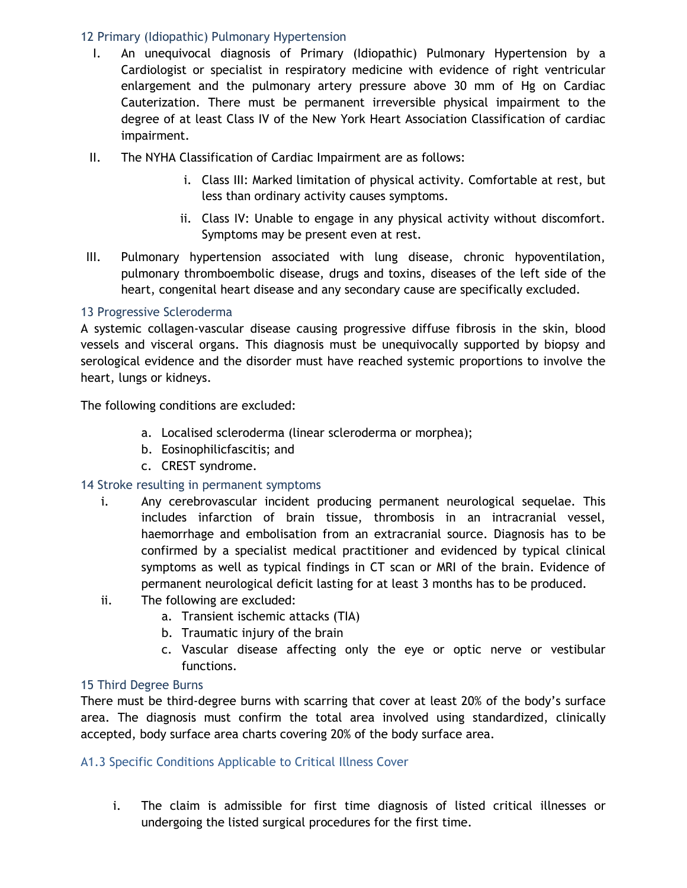## 12 Primary (Idiopathic) Pulmonary Hypertension

- I. An unequivocal diagnosis of Primary (Idiopathic) Pulmonary Hypertension by a Cardiologist or specialist in respiratory medicine with evidence of right ventricular enlargement and the pulmonary artery pressure above 30 mm of Hg on Cardiac Cauterization. There must be permanent irreversible physical impairment to the degree of at least Class IV of the New York Heart Association Classification of cardiac impairment.
- II. The NYHA Classification of Cardiac Impairment are as follows:
	- i. Class III: Marked limitation of physical activity. Comfortable at rest, but less than ordinary activity causes symptoms.
	- ii. Class IV: Unable to engage in any physical activity without discomfort. Symptoms may be present even at rest.
- III. Pulmonary hypertension associated with lung disease, chronic hypoventilation, pulmonary thromboembolic disease, drugs and toxins, diseases of the left side of the heart, congenital heart disease and any secondary cause are specifically excluded.

## 13 Progressive Scleroderma

A systemic collagen-vascular disease causing progressive diffuse fibrosis in the skin, blood vessels and visceral organs. This diagnosis must be unequivocally supported by biopsy and serological evidence and the disorder must have reached systemic proportions to involve the heart, lungs or kidneys.

The following conditions are excluded:

- a. Localised scleroderma (linear scleroderma or morphea);
- b. Eosinophilicfascitis; and
- c. CREST syndrome.

## 14 Stroke resulting in permanent symptoms

- i. Any cerebrovascular incident producing permanent neurological sequelae. This includes infarction of brain tissue, thrombosis in an intracranial vessel, haemorrhage and embolisation from an extracranial source. Diagnosis has to be confirmed by a specialist medical practitioner and evidenced by typical clinical symptoms as well as typical findings in CT scan or MRI of the brain. Evidence of permanent neurological deficit lasting for at least 3 months has to be produced.
- ii. The following are excluded:
	- a. Transient ischemic attacks (TIA)
	- b. Traumatic injury of the brain
	- c. Vascular disease affecting only the eye or optic nerve or vestibular functions.

## 15 Third Degree Burns

There must be third-degree burns with scarring that cover at least 20% of the body's surface area. The diagnosis must confirm the total area involved using standardized, clinically accepted, body surface area charts covering 20% of the body surface area.

## A1.3 Specific Conditions Applicable to Critical Illness Cover

i. The claim is admissible for first time diagnosis of listed critical illnesses or undergoing the listed surgical procedures for the first time.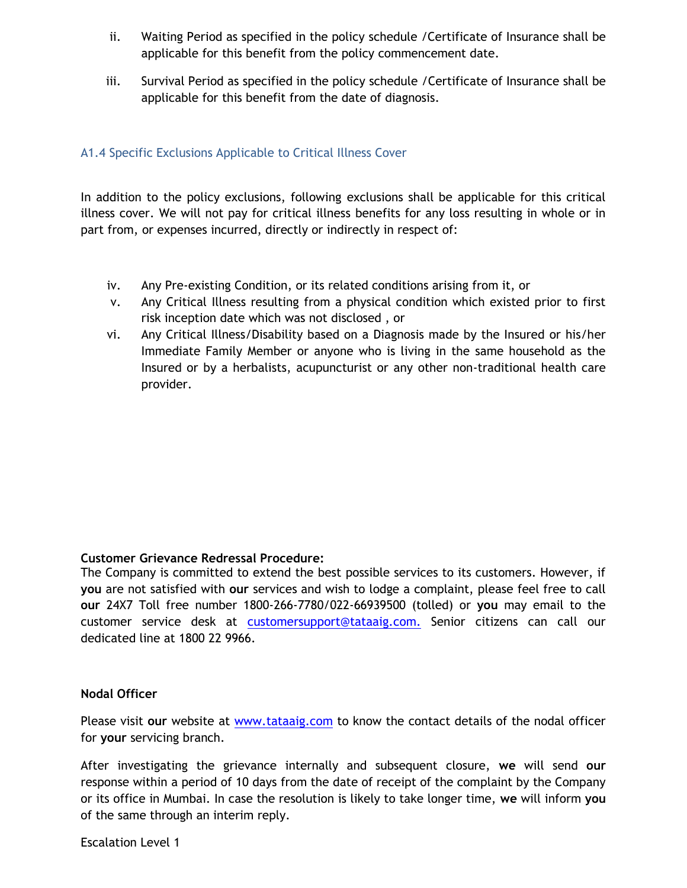- ii. Waiting Period as specified in the policy schedule /Certificate of Insurance shall be applicable for this benefit from the policy commencement date.
- iii. Survival Period as specified in the policy schedule /Certificate of Insurance shall be applicable for this benefit from the date of diagnosis.

## A1.4 Specific Exclusions Applicable to Critical Illness Cover

In addition to the policy exclusions, following exclusions shall be applicable for this critical illness cover. We will not pay for critical illness benefits for any loss resulting in whole or in part from, or expenses incurred, directly or indirectly in respect of:

- iv. Any Pre-existing Condition, or its related conditions arising from it, or
- v. Any Critical Illness resulting from a physical condition which existed prior to first risk inception date which was not disclosed , or
- vi. Any Critical Illness/Disability based on a Diagnosis made by the Insured or his/her Immediate Family Member or anyone who is living in the same household as the Insured or by a herbalists, acupuncturist or any other non-traditional health care provider.

## **Customer Grievance Redressal Procedure:**

The Company is committed to extend the best possible services to its customers. However, if **you** are not satisfied with **our** services and wish to lodge a complaint, please feel free to call **our** 24X7 Toll free number 1800-266-7780/022-66939500 (tolled) or **you** may email to the customer service desk at [customersupport@tataaig.com.](mailto:customersupport@tataaig.com.) Senior citizens can call our dedicated line at 1800 22 9966.

## **Nodal Officer**

Please visit **our** website at [www.tataaig.com](http://www.tataaig.com/) to know the contact details of the nodal officer for **your** servicing branch.

After investigating the grievance internally and subsequent closure, **we** will send **our** response within a period of 10 days from the date of receipt of the complaint by the Company or its office in Mumbai. In case the resolution is likely to take longer time, **we** will inform **you** of the same through an interim reply.

Escalation Level 1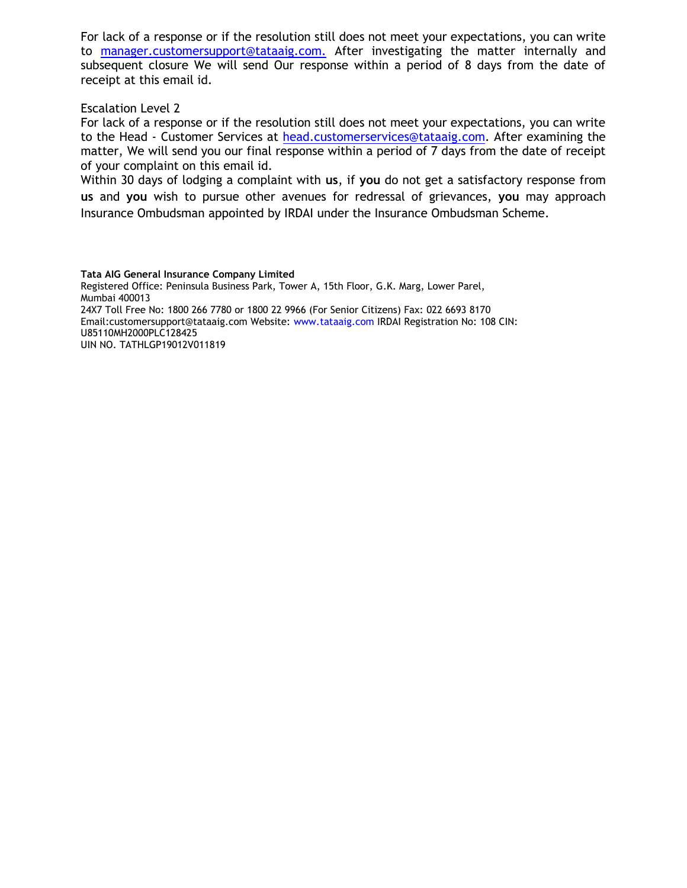For lack of a response or if the resolution still does not meet your expectations, you can write to [manager.customersupport@tataaig.com.](mailto:manager.customersupport@tataaig.com.) After investigating the matter internally and subsequent closure We will send Our response within a period of 8 days from the date of receipt at this email id.

#### Escalation Level 2

For lack of a response or if the resolution still does not meet your expectations, you can write to the Head - Customer Services at [head.customerservices@tataaig.com.](mailto:head.customerservices@tataaig.com) After examining the matter, We will send you our final response within a period of 7 days from the date of receipt of your complaint on this email id.

Within 30 days of lodging a complaint with **us**, if **you** do not get a satisfactory response from **us** and **you** wish to pursue other avenues for redressal of grievances, **you** may approach Insurance Ombudsman appointed by IRDAI under the Insurance Ombudsman Scheme.

**Tata AIG General Insurance Company Limited** Registered Office: Peninsula Business Park, Tower A, 15th Floor, G.K. Marg, Lower Parel, Mumbai 400013 24X7 Toll Free No: 1800 266 7780 or 1800 22 9966 (For Senior Citizens) Fax: 022 6693 8170 Email:customersupport@tataaig.com Website: www.tataaig.com IRDAI Registration No: 108 CIN: U85110MH2000PLC128425 UIN NO. TATHLGP19012V011819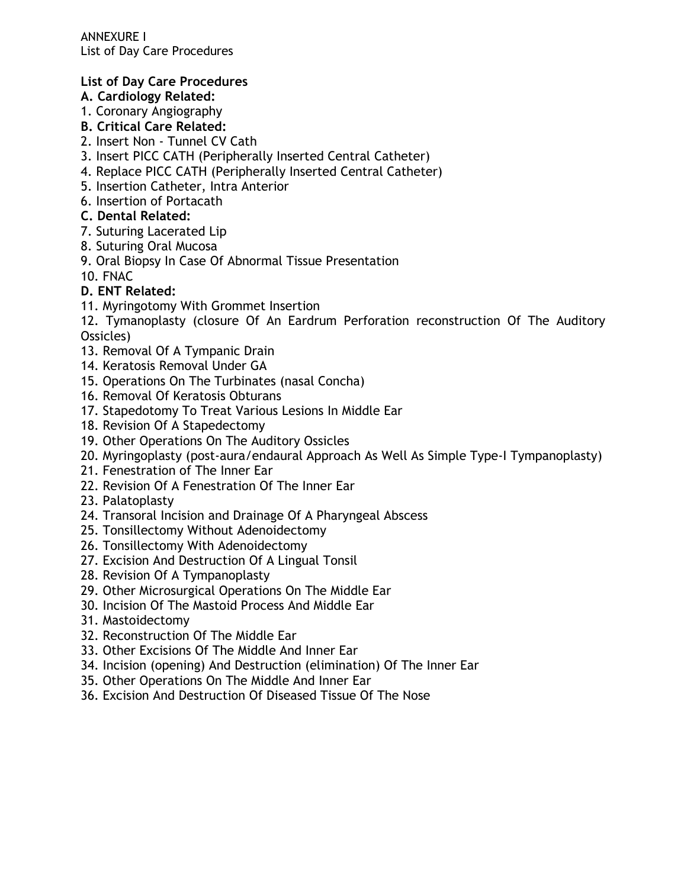ANNEXURE I List of Day Care Procedures

## **List of Day Care Procedures**

## **A. Cardiology Related:**

- 1. Coronary Angiography
- **B. Critical Care Related:**
- 2. Insert Non Tunnel CV Cath
- 3. Insert PICC CATH (Peripherally Inserted Central Catheter)
- 4. Replace PICC CATH (Peripherally Inserted Central Catheter)
- 5. Insertion Catheter, Intra Anterior
- 6. Insertion of Portacath
- **C. Dental Related:**
- 7. Suturing Lacerated Lip
- 8. Suturing Oral Mucosa
- 9. Oral Biopsy In Case Of Abnormal Tissue Presentation
- 10. FNAC

## **D. ENT Related:**

- 11. Myringotomy With Grommet Insertion
- 12. Tymanoplasty (closure Of An Eardrum Perforation reconstruction Of The Auditory Ossicles)
- 13. Removal Of A Tympanic Drain
- 14. Keratosis Removal Under GA
- 15. Operations On The Turbinates (nasal Concha)
- 16. Removal Of Keratosis Obturans
- 17. Stapedotomy To Treat Various Lesions In Middle Ear
- 18. Revision Of A Stapedectomy
- 19. Other Operations On The Auditory Ossicles
- 20. Myringoplasty (post-aura/endaural Approach As Well As Simple Type-I Tympanoplasty)
- 21. Fenestration of The Inner Ear
- 22. Revision Of A Fenestration Of The Inner Ear
- 23. Palatoplasty
- 24. Transoral Incision and Drainage Of A Pharyngeal Abscess
- 25. Tonsillectomy Without Adenoidectomy
- 26. Tonsillectomy With Adenoidectomy
- 27. Excision And Destruction Of A Lingual Tonsil
- 28. Revision Of A Tympanoplasty
- 29. Other Microsurgical Operations On The Middle Ear
- 30. Incision Of The Mastoid Process And Middle Ear
- 31. Mastoidectomy
- 32. Reconstruction Of The Middle Ear
- 33. Other Excisions Of The Middle And Inner Ear
- 34. Incision (opening) And Destruction (elimination) Of The Inner Ear
- 35. Other Operations On The Middle And Inner Ear
- 36. Excision And Destruction Of Diseased Tissue Of The Nose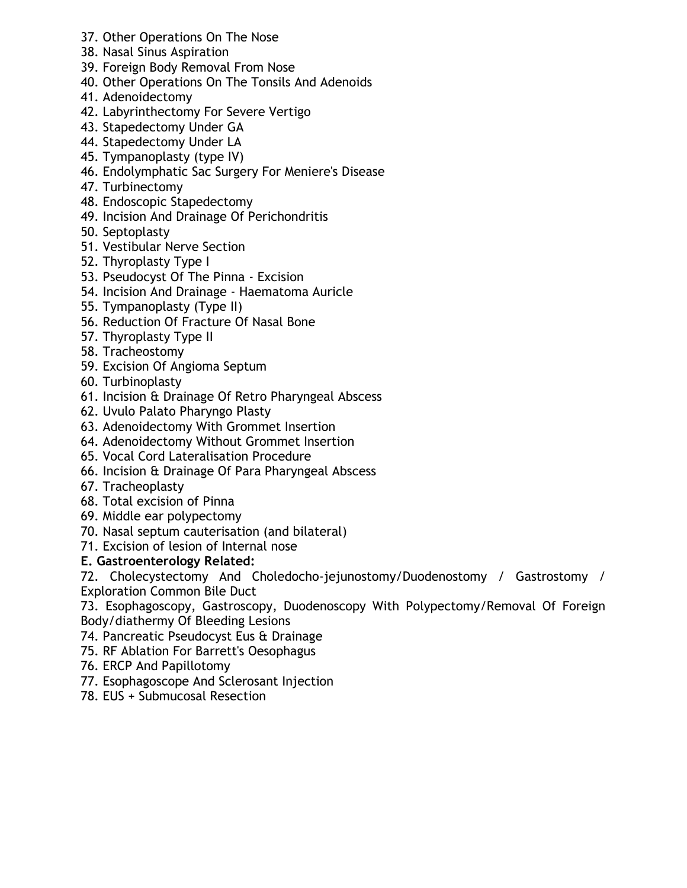- 37. Other Operations On The Nose
- 38. Nasal Sinus Aspiration
- 39. Foreign Body Removal From Nose
- 40. Other Operations On The Tonsils And Adenoids
- 41. Adenoidectomy
- 42. Labyrinthectomy For Severe Vertigo
- 43. Stapedectomy Under GA
- 44. Stapedectomy Under LA
- 45. Tympanoplasty (type IV)
- 46. Endolymphatic Sac Surgery For Meniere's Disease
- 47. Turbinectomy
- 48. Endoscopic Stapedectomy
- 49. Incision And Drainage Of Perichondritis
- 50. Septoplasty
- 51. Vestibular Nerve Section
- 52. Thyroplasty Type I
- 53. Pseudocyst Of The Pinna Excision
- 54. Incision And Drainage Haematoma Auricle
- 55. Tympanoplasty (Type II)
- 56. Reduction Of Fracture Of Nasal Bone
- 57. Thyroplasty Type II
- 58. Tracheostomy
- 59. Excision Of Angioma Septum
- 60. Turbinoplasty
- 61. Incision & Drainage Of Retro Pharyngeal Abscess
- 62. Uvulo Palato Pharyngo Plasty
- 63. Adenoidectomy With Grommet Insertion
- 64. Adenoidectomy Without Grommet Insertion
- 65. Vocal Cord Lateralisation Procedure
- 66. Incision & Drainage Of Para Pharyngeal Abscess
- 67. Tracheoplasty
- 68. Total excision of Pinna
- 69. Middle ear polypectomy
- 70. Nasal septum cauterisation (and bilateral)
- 71. Excision of lesion of Internal nose

# **E. Gastroenterology Related:**

72. Cholecystectomy And Choledocho-jejunostomy/Duodenostomy / Gastrostomy / Exploration Common Bile Duct

73. Esophagoscopy, Gastroscopy, Duodenoscopy With Polypectomy/Removal Of Foreign Body/diathermy Of Bleeding Lesions

- 74. Pancreatic Pseudocyst Eus & Drainage
- 75. RF Ablation For Barrett's Oesophagus
- 76. ERCP And Papillotomy
- 77. Esophagoscope And Sclerosant Injection
- 78. EUS + Submucosal Resection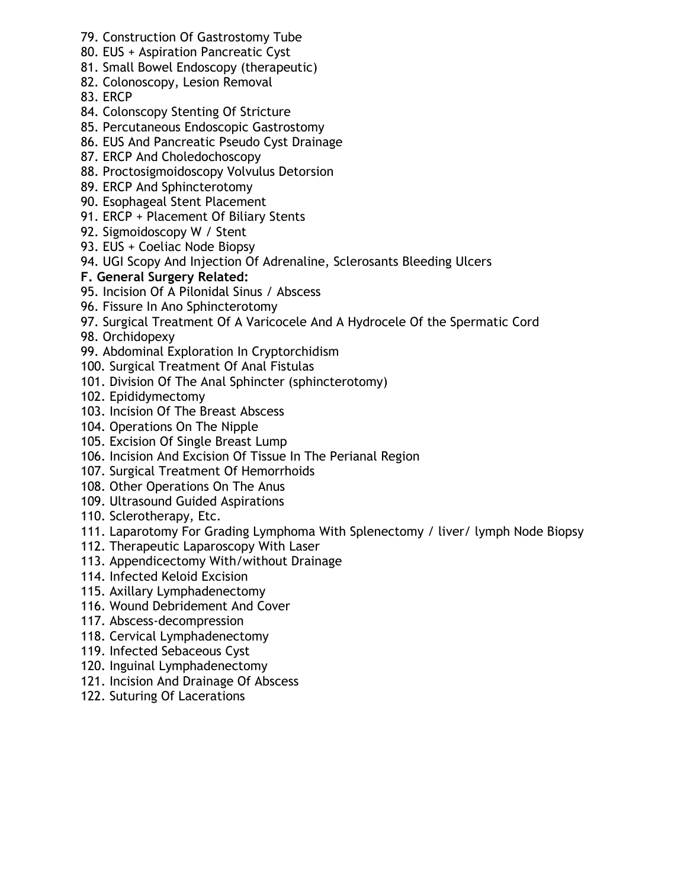- 79. Construction Of Gastrostomy Tube
- 80. EUS + Aspiration Pancreatic Cyst
- 81. Small Bowel Endoscopy (therapeutic)
- 82. Colonoscopy, Lesion Removal
- 83. ERCP
- 84. Colonscopy Stenting Of Stricture
- 85. Percutaneous Endoscopic Gastrostomy
- 86. EUS And Pancreatic Pseudo Cyst Drainage
- 87. ERCP And Choledochoscopy
- 88. Proctosigmoidoscopy Volvulus Detorsion
- 89. ERCP And Sphincterotomy
- 90. Esophageal Stent Placement
- 91. ERCP + Placement Of Biliary Stents
- 92. Sigmoidoscopy W / Stent
- 93. EUS + Coeliac Node Biopsy
- 94. UGI Scopy And Injection Of Adrenaline, Sclerosants Bleeding Ulcers
- **F. General Surgery Related:**
- 95. Incision Of A Pilonidal Sinus / Abscess
- 96. Fissure In Ano Sphincterotomy
- 97. Surgical Treatment Of A Varicocele And A Hydrocele Of the Spermatic Cord
- 98. Orchidopexy
- 99. Abdominal Exploration In Cryptorchidism
- 100. Surgical Treatment Of Anal Fistulas
- 101. Division Of The Anal Sphincter (sphincterotomy)
- 102. Epididymectomy
- 103. Incision Of The Breast Abscess
- 104. Operations On The Nipple
- 105. Excision Of Single Breast Lump
- 106. Incision And Excision Of Tissue In The Perianal Region
- 107. Surgical Treatment Of Hemorrhoids
- 108. Other Operations On The Anus
- 109. Ultrasound Guided Aspirations
- 110. Sclerotherapy, Etc.
- 111. Laparotomy For Grading Lymphoma With Splenectomy / liver/ lymph Node Biopsy
- 112. Therapeutic Laparoscopy With Laser
- 113. Appendicectomy With/without Drainage
- 114. Infected Keloid Excision
- 115. Axillary Lymphadenectomy
- 116. Wound Debridement And Cover
- 117. Abscess-decompression
- 118. Cervical Lymphadenectomy
- 119. Infected Sebaceous Cyst
- 120. Inguinal Lymphadenectomy
- 121. Incision And Drainage Of Abscess
- 122. Suturing Of Lacerations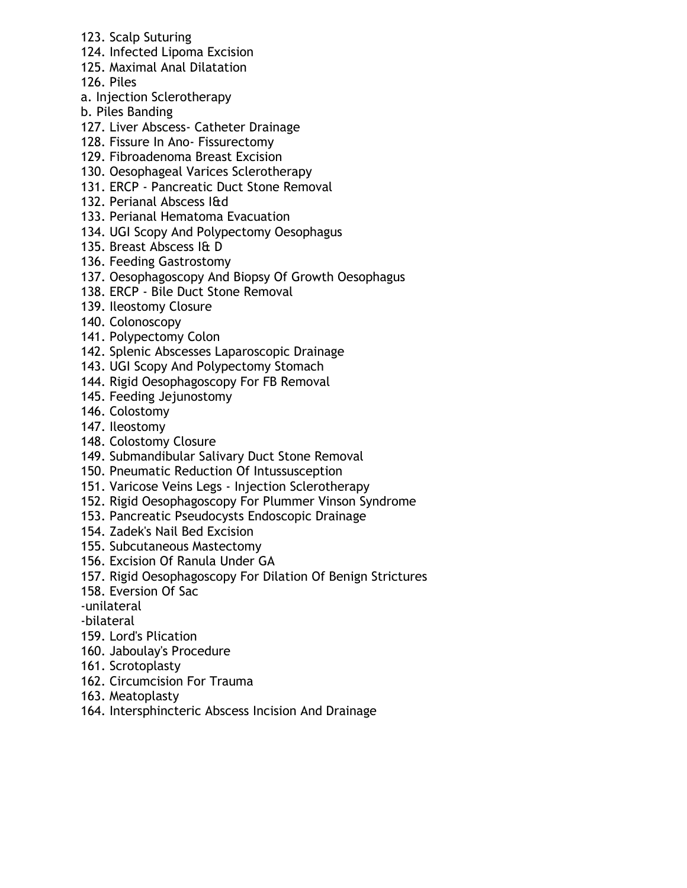- 123. Scalp Suturing
- 124. Infected Lipoma Excision
- 125. Maximal Anal Dilatation
- 126. Piles
- a. Injection Sclerotherapy
- b. Piles Banding
- 127. Liver Abscess- Catheter Drainage
- 128. Fissure In Ano- Fissurectomy
- 129. Fibroadenoma Breast Excision
- 130. Oesophageal Varices Sclerotherapy
- 131. ERCP Pancreatic Duct Stone Removal
- 132. Perianal Abscess I&d
- 133. Perianal Hematoma Evacuation
- 134. UGI Scopy And Polypectomy Oesophagus
- 135. Breast Abscess I& D
- 136. Feeding Gastrostomy
- 137. Oesophagoscopy And Biopsy Of Growth Oesophagus
- 138. ERCP Bile Duct Stone Removal
- 139. Ileostomy Closure
- 140. Colonoscopy
- 141. Polypectomy Colon
- 142. Splenic Abscesses Laparoscopic Drainage
- 143. UGI Scopy And Polypectomy Stomach
- 144. Rigid Oesophagoscopy For FB Removal
- 145. Feeding Jejunostomy
- 146. Colostomy
- 147. Ileostomy
- 148. Colostomy Closure
- 149. Submandibular Salivary Duct Stone Removal
- 150. Pneumatic Reduction Of Intussusception
- 151. Varicose Veins Legs Injection Sclerotherapy
- 152. Rigid Oesophagoscopy For Plummer Vinson Syndrome
- 153. Pancreatic Pseudocysts Endoscopic Drainage
- 154. Zadek's Nail Bed Excision
- 155. Subcutaneous Mastectomy
- 156. Excision Of Ranula Under GA
- 157. Rigid Oesophagoscopy For Dilation Of Benign Strictures
- 158. Eversion Of Sac
- -unilateral
- -bilateral
- 159. Lord's Plication
- 160. Jaboulay's Procedure
- 161. Scrotoplasty
- 162. Circumcision For Trauma
- 163. Meatoplasty
- 164. Intersphincteric Abscess Incision And Drainage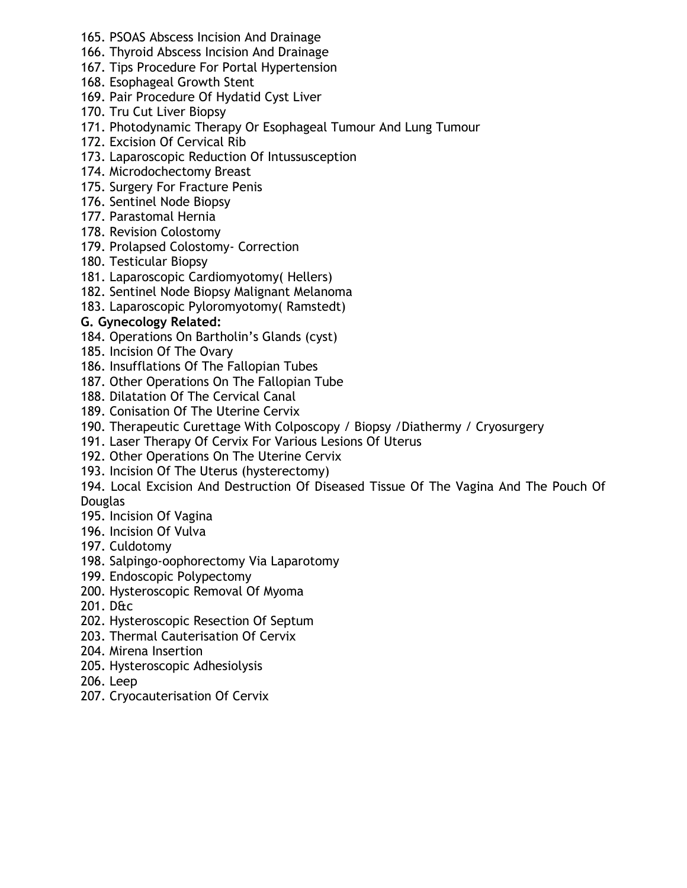- 165. PSOAS Abscess Incision And Drainage
- 166. Thyroid Abscess Incision And Drainage
- 167. Tips Procedure For Portal Hypertension
- 168. Esophageal Growth Stent
- 169. Pair Procedure Of Hydatid Cyst Liver
- 170. Tru Cut Liver Biopsy
- 171. Photodynamic Therapy Or Esophageal Tumour And Lung Tumour
- 172. Excision Of Cervical Rib
- 173. Laparoscopic Reduction Of Intussusception
- 174. Microdochectomy Breast
- 175. Surgery For Fracture Penis
- 176. Sentinel Node Biopsy
- 177. Parastomal Hernia
- 178. Revision Colostomy
- 179. Prolapsed Colostomy- Correction
- 180. Testicular Biopsy
- 181. Laparoscopic Cardiomyotomy( Hellers)
- 182. Sentinel Node Biopsy Malignant Melanoma
- 183. Laparoscopic Pyloromyotomy( Ramstedt)

# **G. Gynecology Related:**

- 184. Operations On Bartholin's Glands (cyst)
- 185. Incision Of The Ovary
- 186. Insufflations Of The Fallopian Tubes
- 187. Other Operations On The Fallopian Tube
- 188. Dilatation Of The Cervical Canal
- 189. Conisation Of The Uterine Cervix
- 190. Therapeutic Curettage With Colposcopy / Biopsy /Diathermy / Cryosurgery
- 191. Laser Therapy Of Cervix For Various Lesions Of Uterus
- 192. Other Operations On The Uterine Cervix
- 193. Incision Of The Uterus (hysterectomy)
- 194. Local Excision And Destruction Of Diseased Tissue Of The Vagina And The Pouch Of **Douglas**
- 195. Incision Of Vagina
- 196. Incision Of Vulva
- 197. Culdotomy
- 198. Salpingo-oophorectomy Via Laparotomy
- 199. Endoscopic Polypectomy
- 200. Hysteroscopic Removal Of Myoma
- 201. D&c
- 202. Hysteroscopic Resection Of Septum
- 203. Thermal Cauterisation Of Cervix
- 204. Mirena Insertion
- 205. Hysteroscopic Adhesiolysis
- 206. Leep
- 207. Cryocauterisation Of Cervix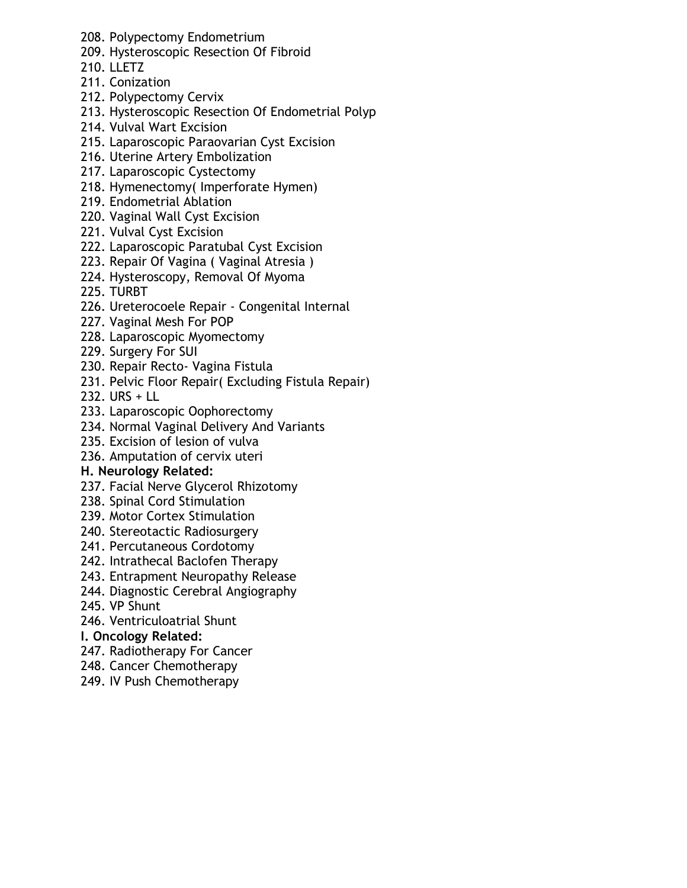- 208. Polypectomy Endometrium
- 209. Hysteroscopic Resection Of Fibroid
- 210. LLETZ
- 211. Conization
- 212. Polypectomy Cervix
- 213. Hysteroscopic Resection Of Endometrial Polyp
- 214. Vulval Wart Excision
- 215. Laparoscopic Paraovarian Cyst Excision
- 216. Uterine Artery Embolization
- 217. Laparoscopic Cystectomy
- 218. Hymenectomy( Imperforate Hymen)
- 219. Endometrial Ablation
- 220. Vaginal Wall Cyst Excision
- 221. Vulval Cyst Excision
- 222. Laparoscopic Paratubal Cyst Excision
- 223. Repair Of Vagina ( Vaginal Atresia )
- 224. Hysteroscopy, Removal Of Myoma
- 225. TURBT
- 226. Ureterocoele Repair Congenital Internal
- 227. Vaginal Mesh For POP
- 228. Laparoscopic Myomectomy
- 229. Surgery For SUI
- 230. Repair Recto- Vagina Fistula
- 231. Pelvic Floor Repair( Excluding Fistula Repair)
- 232. URS + LL
- 233. Laparoscopic Oophorectomy
- 234. Normal Vaginal Delivery And Variants
- 235. Excision of lesion of vulva
- 236. Amputation of cervix uteri

## **H. Neurology Related:**

- 237. Facial Nerve Glycerol Rhizotomy
- 238. Spinal Cord Stimulation
- 239. Motor Cortex Stimulation
- 240. Stereotactic Radiosurgery
- 241. Percutaneous Cordotomy
- 242. Intrathecal Baclofen Therapy
- 243. Entrapment Neuropathy Release
- 244. Diagnostic Cerebral Angiography
- 245. VP Shunt
- 246. Ventriculoatrial Shunt

## **I. Oncology Related:**

- 247. Radiotherapy For Cancer
- 248. Cancer Chemotherapy
- 249. IV Push Chemotherapy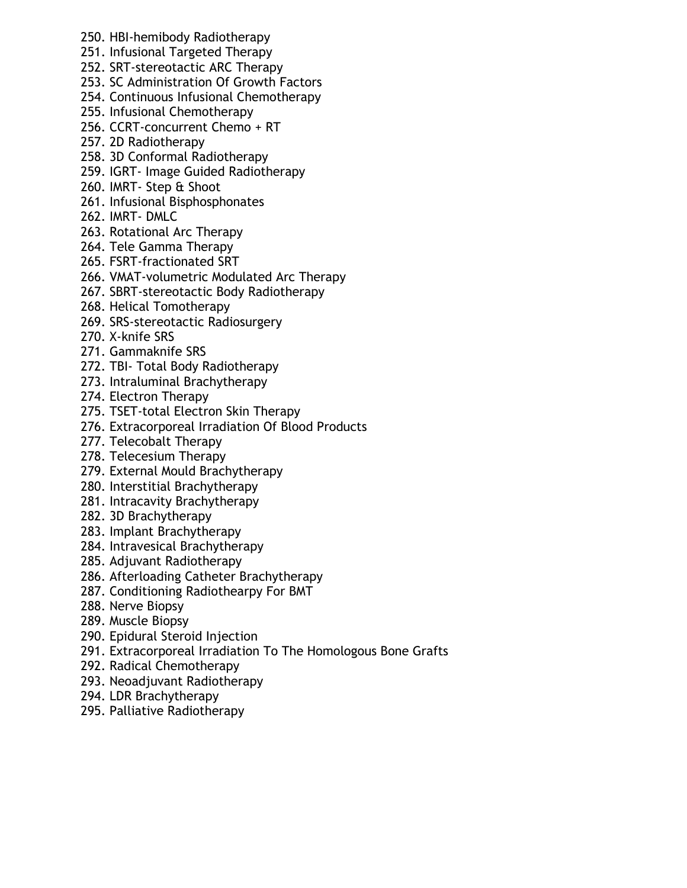- 250. HBI-hemibody Radiotherapy
- 251. Infusional Targeted Therapy
- 252. SRT-stereotactic ARC Therapy
- 253. SC Administration Of Growth Factors
- 254. Continuous Infusional Chemotherapy
- 255. Infusional Chemotherapy
- 256. CCRT-concurrent Chemo + RT
- 257. 2D Radiotherapy
- 258. 3D Conformal Radiotherapy
- 259. IGRT- Image Guided Radiotherapy
- 260. IMRT- Step & Shoot
- 261. Infusional Bisphosphonates
- 262. IMRT- DMLC
- 263. Rotational Arc Therapy
- 264. Tele Gamma Therapy
- 265. FSRT-fractionated SRT
- 266. VMAT-volumetric Modulated Arc Therapy
- 267. SBRT-stereotactic Body Radiotherapy
- 268. Helical Tomotherapy
- 269. SRS-stereotactic Radiosurgery
- 270. X-knife SRS
- 271. Gammaknife SRS
- 272. TBI- Total Body Radiotherapy
- 273. Intraluminal Brachytherapy
- 274. Electron Therapy
- 275. TSET-total Electron Skin Therapy
- 276. Extracorporeal Irradiation Of Blood Products
- 277. Telecobalt Therapy
- 278. Telecesium Therapy
- 279. External Mould Brachytherapy
- 280. Interstitial Brachytherapy
- 281. Intracavity Brachytherapy
- 282. 3D Brachytherapy
- 283. Implant Brachytherapy
- 284. Intravesical Brachytherapy
- 285. Adjuvant Radiotherapy
- 286. Afterloading Catheter Brachytherapy
- 287. Conditioning Radiothearpy For BMT
- 288. Nerve Biopsy
- 289. Muscle Biopsy
- 290. Epidural Steroid Injection
- 291. Extracorporeal Irradiation To The Homologous Bone Grafts
- 292. Radical Chemotherapy
- 293. Neoadjuvant Radiotherapy
- 294. LDR Brachytherapy
- 295. Palliative Radiotherapy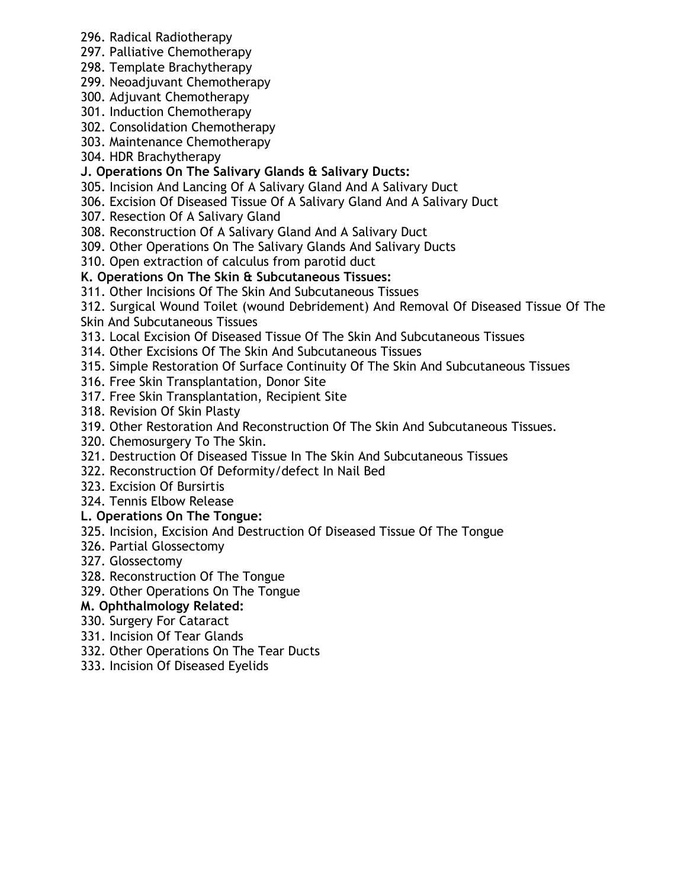- 296. Radical Radiotherapy
- 297. Palliative Chemotherapy
- 298. Template Brachytherapy
- 299. Neoadjuvant Chemotherapy
- 300. Adjuvant Chemotherapy
- 301. Induction Chemotherapy
- 302. Consolidation Chemotherapy
- 303. Maintenance Chemotherapy
- 304. HDR Brachytherapy

# **J. Operations On The Salivary Glands & Salivary Ducts:**

- 305. Incision And Lancing Of A Salivary Gland And A Salivary Duct
- 306. Excision Of Diseased Tissue Of A Salivary Gland And A Salivary Duct
- 307. Resection Of A Salivary Gland
- 308. Reconstruction Of A Salivary Gland And A Salivary Duct
- 309. Other Operations On The Salivary Glands And Salivary Ducts
- 310. Open extraction of calculus from parotid duct
- **K. Operations On The Skin & Subcutaneous Tissues:**
- 311. Other Incisions Of The Skin And Subcutaneous Tissues

312. Surgical Wound Toilet (wound Debridement) And Removal Of Diseased Tissue Of The Skin And Subcutaneous Tissues

- 313. Local Excision Of Diseased Tissue Of The Skin And Subcutaneous Tissues
- 314. Other Excisions Of The Skin And Subcutaneous Tissues
- 315. Simple Restoration Of Surface Continuity Of The Skin And Subcutaneous Tissues
- 316. Free Skin Transplantation, Donor Site
- 317. Free Skin Transplantation, Recipient Site
- 318. Revision Of Skin Plasty
- 319. Other Restoration And Reconstruction Of The Skin And Subcutaneous Tissues.
- 320. Chemosurgery To The Skin.
- 321. Destruction Of Diseased Tissue In The Skin And Subcutaneous Tissues
- 322. Reconstruction Of Deformity/defect In Nail Bed
- 323. Excision Of Bursirtis
- 324. Tennis Elbow Release

# **L. Operations On The Tongue:**

- 325. Incision, Excision And Destruction Of Diseased Tissue Of The Tongue
- 326. Partial Glossectomy
- 327. Glossectomy
- 328. Reconstruction Of The Tongue
- 329. Other Operations On The Tongue

# **M. Ophthalmology Related:**

- 330. Surgery For Cataract
- 331. Incision Of Tear Glands
- 332. Other Operations On The Tear Ducts
- 333. Incision Of Diseased Eyelids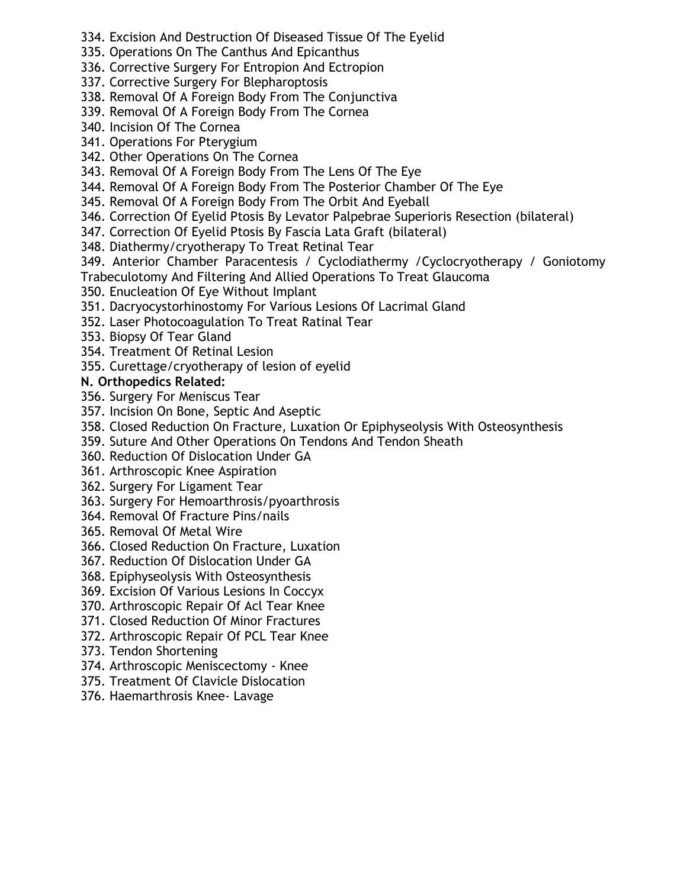- 334. Excision And Destruction Of Diseased Tissue Of The Eyelid
- 335. Operations On The Canthus And Epicanthus
- 336. Corrective Surgery For Entropion And Ectropion
- 337. Corrective Surgery For Blepharoptosis
- 338. Removal Of A Foreign Body From The Conjunctiva
- 339. Removal Of A Foreign Body From The Cornea
- 340. Incision Of The Cornea
- 341. Operations For Pterygium
- 342. Other Operations On The Cornea
- 343. Removal Of A Foreign Body From The Lens Of The Eye
- 344. Removal Of A Foreign Body From The Posterior Chamber Of The Eye
- 345. Removal Of A Foreign Body From The Orbit And Eyeball
- 346. Correction Of Eyelid Ptosis By Levator Palpebrae Superioris Resection (bilateral)
- 347. Correction Of Eyelid Ptosis By Fascia Lata Graft (bilateral)
- 348. Diathermy/cryotherapy To Treat Retinal Tear
- 349. Anterior Chamber Paracentesis / Cyclodiathermy /Cyclocryotherapy / Goniotomy Trabeculotomy And Filtering And Allied Operations To Treat Glaucoma
- 350. Enucleation Of Eye Without Implant
- 351. Dacryocystorhinostomy For Various Lesions Of Lacrimal Gland
- 352. Laser Photocoagulation To Treat Ratinal Tear
- 353. Biopsy Of Tear Gland
- 354. Treatment Of Retinal Lesion
- 355. Curettage/cryotherapy of lesion of eyelid

# **N. Orthopedics Related:**

- 356. Surgery For Meniscus Tear
- 357. Incision On Bone, Septic And Aseptic
- 358. Closed Reduction On Fracture, Luxation Or Epiphyseolysis With Osteosynthesis
- 359. Suture And Other Operations On Tendons And Tendon Sheath
- 360. Reduction Of Dislocation Under GA
- 361. Arthroscopic Knee Aspiration
- 362. Surgery For Ligament Tear
- 363. Surgery For Hemoarthrosis/pyoarthrosis
- 364. Removal Of Fracture Pins/nails
- 365. Removal Of Metal Wire
- 366. Closed Reduction On Fracture, Luxation
- 367. Reduction Of Dislocation Under GA
- 368. Epiphyseolysis With Osteosynthesis
- 369. Excision Of Various Lesions In Coccyx
- 370. Arthroscopic Repair Of Acl Tear Knee
- 371. Closed Reduction Of Minor Fractures
- 372. Arthroscopic Repair Of PCL Tear Knee
- 373. Tendon Shortening
- 374. Arthroscopic Meniscectomy Knee
- 375. Treatment Of Clavicle Dislocation
- 376. Haemarthrosis Knee- Lavage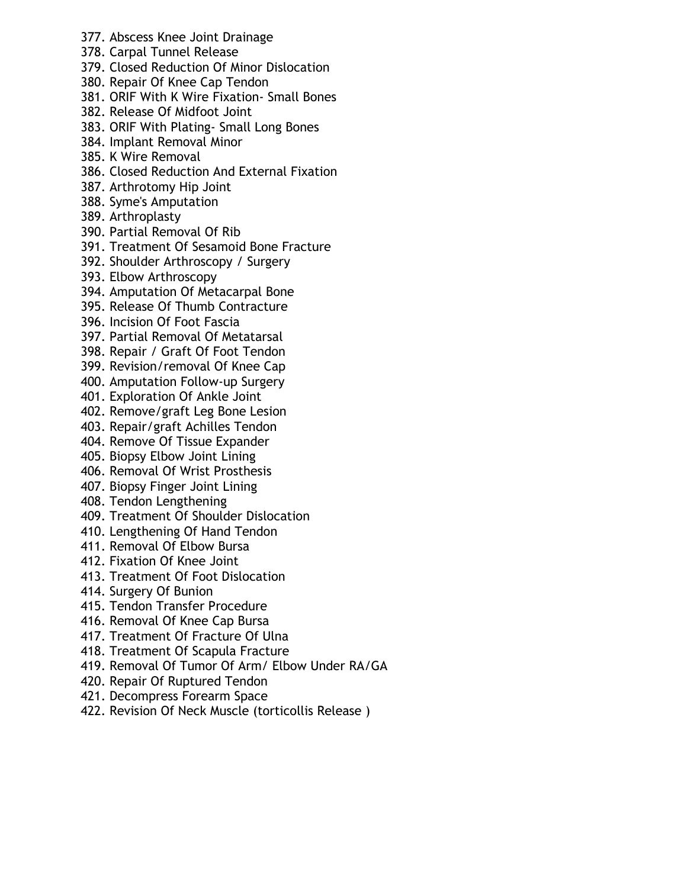- 377. Abscess Knee Joint Drainage
- 378. Carpal Tunnel Release
- 379. Closed Reduction Of Minor Dislocation
- 380. Repair Of Knee Cap Tendon
- 381. ORIF With K Wire Fixation- Small Bones
- 382. Release Of Midfoot Joint
- 383. ORIF With Plating- Small Long Bones
- 384. Implant Removal Minor
- 385. K Wire Removal
- 386. Closed Reduction And External Fixation
- 387. Arthrotomy Hip Joint
- 388. Syme's Amputation
- 389. Arthroplasty
- 390. Partial Removal Of Rib
- 391. Treatment Of Sesamoid Bone Fracture
- 392. Shoulder Arthroscopy / Surgery
- 393. Elbow Arthroscopy
- 394. Amputation Of Metacarpal Bone
- 395. Release Of Thumb Contracture
- 396. Incision Of Foot Fascia
- 397. Partial Removal Of Metatarsal
- 398. Repair / Graft Of Foot Tendon
- 399. Revision/removal Of Knee Cap
- 400. Amputation Follow-up Surgery
- 401. Exploration Of Ankle Joint
- 402. Remove/graft Leg Bone Lesion
- 403. Repair/graft Achilles Tendon
- 404. Remove Of Tissue Expander
- 405. Biopsy Elbow Joint Lining
- 406. Removal Of Wrist Prosthesis
- 407. Biopsy Finger Joint Lining
- 408. Tendon Lengthening
- 409. Treatment Of Shoulder Dislocation
- 410. Lengthening Of Hand Tendon
- 411. Removal Of Elbow Bursa
- 412. Fixation Of Knee Joint
- 413. Treatment Of Foot Dislocation
- 414. Surgery Of Bunion
- 415. Tendon Transfer Procedure
- 416. Removal Of Knee Cap Bursa
- 417. Treatment Of Fracture Of Ulna
- 418. Treatment Of Scapula Fracture
- 419. Removal Of Tumor Of Arm/ Elbow Under RA/GA
- 420. Repair Of Ruptured Tendon
- 421. Decompress Forearm Space
- 422. Revision Of Neck Muscle (torticollis Release )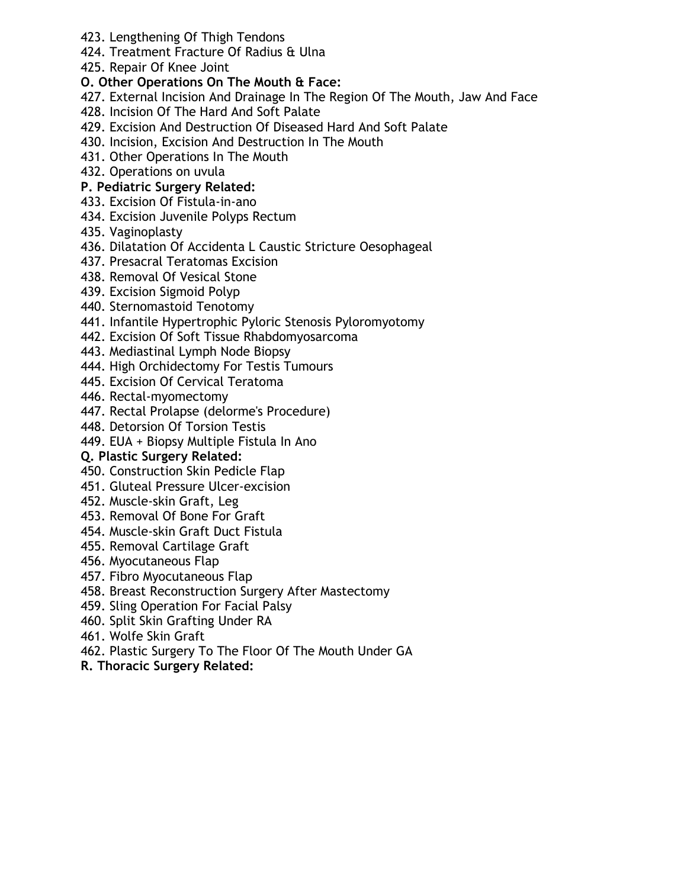- 423. Lengthening Of Thigh Tendons
- 424. Treatment Fracture Of Radius & Ulna
- 425. Repair Of Knee Joint

# **O. Other Operations On The Mouth & Face:**

- 427. External Incision And Drainage In The Region Of The Mouth, Jaw And Face
- 428. Incision Of The Hard And Soft Palate
- 429. Excision And Destruction Of Diseased Hard And Soft Palate
- 430. Incision, Excision And Destruction In The Mouth
- 431. Other Operations In The Mouth
- 432. Operations on uvula

# **P. Pediatric Surgery Related:**

- 433. Excision Of Fistula-in-ano
- 434. Excision Juvenile Polyps Rectum
- 435. Vaginoplasty
- 436. Dilatation Of Accidenta L Caustic Stricture Oesophageal
- 437. Presacral Teratomas Excision
- 438. Removal Of Vesical Stone
- 439. Excision Sigmoid Polyp
- 440. Sternomastoid Tenotomy
- 441. Infantile Hypertrophic Pyloric Stenosis Pyloromyotomy
- 442. Excision Of Soft Tissue Rhabdomyosarcoma
- 443. Mediastinal Lymph Node Biopsy
- 444. High Orchidectomy For Testis Tumours
- 445. Excision Of Cervical Teratoma
- 446. Rectal-myomectomy
- 447. Rectal Prolapse (delorme's Procedure)
- 448. Detorsion Of Torsion Testis
- 449. EUA + Biopsy Multiple Fistula In Ano

# **Q. Plastic Surgery Related:**

- 450. Construction Skin Pedicle Flap
- 451. Gluteal Pressure Ulcer-excision
- 452. Muscle-skin Graft, Leg
- 453. Removal Of Bone For Graft
- 454. Muscle-skin Graft Duct Fistula
- 455. Removal Cartilage Graft
- 456. Myocutaneous Flap
- 457. Fibro Myocutaneous Flap
- 458. Breast Reconstruction Surgery After Mastectomy
- 459. Sling Operation For Facial Palsy
- 460. Split Skin Grafting Under RA
- 461. Wolfe Skin Graft
- 462. Plastic Surgery To The Floor Of The Mouth Under GA
- **R. Thoracic Surgery Related:**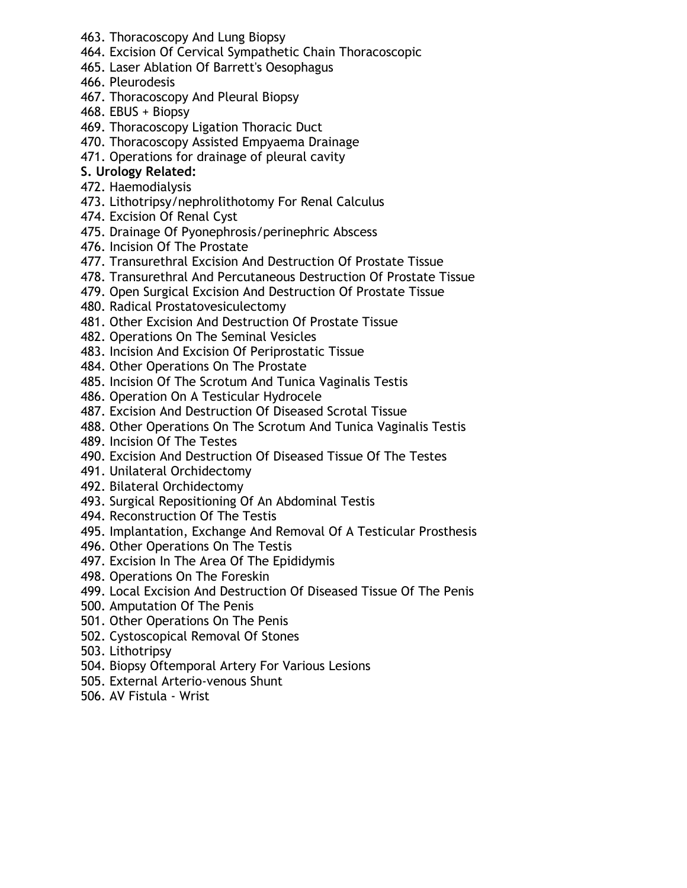- 463. Thoracoscopy And Lung Biopsy
- 464. Excision Of Cervical Sympathetic Chain Thoracoscopic
- 465. Laser Ablation Of Barrett's Oesophagus
- 466. Pleurodesis
- 467. Thoracoscopy And Pleural Biopsy
- 468. EBUS + Biopsy
- 469. Thoracoscopy Ligation Thoracic Duct
- 470. Thoracoscopy Assisted Empyaema Drainage
- 471. Operations for drainage of pleural cavity

# **S. Urology Related:**

- 472. Haemodialysis
- 473. Lithotripsy/nephrolithotomy For Renal Calculus
- 474. Excision Of Renal Cyst
- 475. Drainage Of Pyonephrosis/perinephric Abscess
- 476. Incision Of The Prostate
- 477. Transurethral Excision And Destruction Of Prostate Tissue
- 478. Transurethral And Percutaneous Destruction Of Prostate Tissue
- 479. Open Surgical Excision And Destruction Of Prostate Tissue
- 480. Radical Prostatovesiculectomy
- 481. Other Excision And Destruction Of Prostate Tissue
- 482. Operations On The Seminal Vesicles
- 483. Incision And Excision Of Periprostatic Tissue
- 484. Other Operations On The Prostate
- 485. Incision Of The Scrotum And Tunica Vaginalis Testis
- 486. Operation On A Testicular Hydrocele
- 487. Excision And Destruction Of Diseased Scrotal Tissue
- 488. Other Operations On The Scrotum And Tunica Vaginalis Testis
- 489. Incision Of The Testes
- 490. Excision And Destruction Of Diseased Tissue Of The Testes
- 491. Unilateral Orchidectomy
- 492. Bilateral Orchidectomy
- 493. Surgical Repositioning Of An Abdominal Testis
- 494. Reconstruction Of The Testis
- 495. Implantation, Exchange And Removal Of A Testicular Prosthesis
- 496. Other Operations On The Testis
- 497. Excision In The Area Of The Epididymis
- 498. Operations On The Foreskin
- 499. Local Excision And Destruction Of Diseased Tissue Of The Penis
- 500. Amputation Of The Penis
- 501. Other Operations On The Penis
- 502. Cystoscopical Removal Of Stones
- 503. Lithotripsy
- 504. Biopsy Oftemporal Artery For Various Lesions
- 505. External Arterio-venous Shunt
- 506. AV Fistula Wrist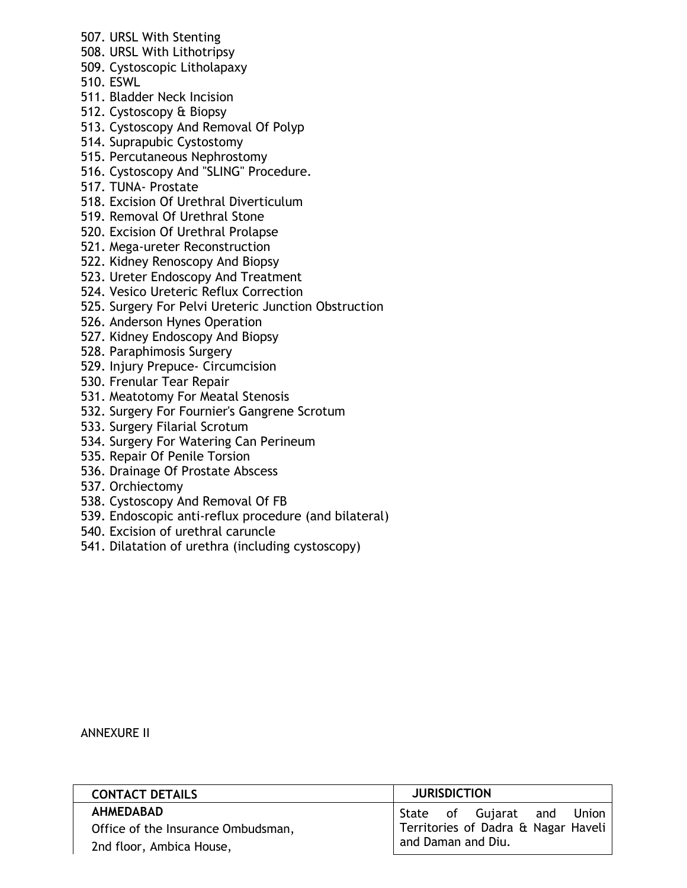- 507. URSL With Stenting
- 508. URSL With Lithotripsy
- 509. Cystoscopic Litholapaxy
- 510. ESWL
- 511. Bladder Neck Incision
- 512. Cystoscopy & Biopsy
- 513. Cystoscopy And Removal Of Polyp
- 514. Suprapubic Cystostomy
- 515. Percutaneous Nephrostomy
- 516. Cystoscopy And "SLING" Procedure.
- 517. TUNA- Prostate
- 518. Excision Of Urethral Diverticulum
- 519. Removal Of Urethral Stone
- 520. Excision Of Urethral Prolapse
- 521. Mega-ureter Reconstruction
- 522. Kidney Renoscopy And Biopsy
- 523. Ureter Endoscopy And Treatment
- 524. Vesico Ureteric Reflux Correction
- 525. Surgery For Pelvi Ureteric Junction Obstruction
- 526. Anderson Hynes Operation
- 527. Kidney Endoscopy And Biopsy
- 528. Paraphimosis Surgery
- 529. Injury Prepuce- Circumcision
- 530. Frenular Tear Repair
- 531. Meatotomy For Meatal Stenosis
- 532. Surgery For Fournier's Gangrene Scrotum
- 533. Surgery Filarial Scrotum
- 534. Surgery For Watering Can Perineum
- 535. Repair Of Penile Torsion
- 536. Drainage Of Prostate Abscess
- 537. Orchiectomy
- 538. Cystoscopy And Removal Of FB
- 539. Endoscopic anti-reflux procedure (and bilateral)
- 540. Excision of urethral caruncle
- 541. Dilatation of urethra (including cystoscopy)

#### ANNEXURE II

| <b>CONTACT DETAILS</b>             | <b>JURISDICTION</b>                 |
|------------------------------------|-------------------------------------|
| <b>AHMEDABAD</b>                   | State of Gujarat and Union          |
| Office of the Insurance Ombudsman, | Territories of Dadra & Nagar Haveli |
| 2nd floor, Ambica House,           | and Daman and Diu.                  |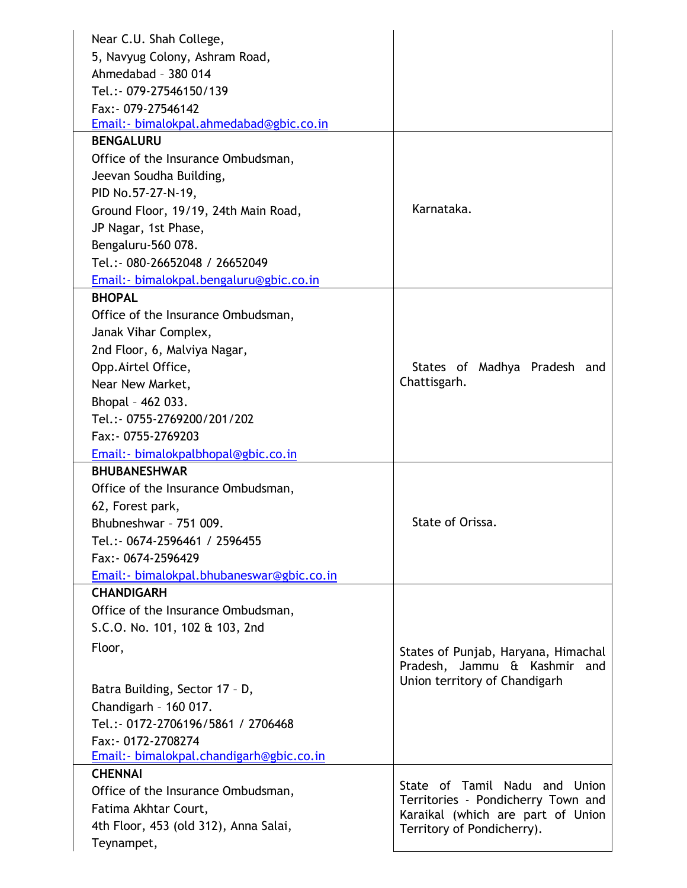| 5, Navyug Colony, Ashram Road,<br>Ahmedabad - 380 014<br>Tel.: - 079-27546150/139<br>Fax: - 079-27546142<br>Email:- bimalokpal.ahmedabad@gbic.co.in<br><b>BENGALURU</b><br>Office of the Insurance Ombudsman,<br>Jeevan Soudha Building,<br>PID No.57-27-N-19,<br>Karnataka.<br>Ground Floor, 19/19, 24th Main Road,<br>JP Nagar, 1st Phase,<br>Bengaluru-560 078.<br>Tel.:- 080-26652048 / 26652049<br>Email:- bimalokpal.bengaluru@gbic.co.in<br><b>BHOPAL</b><br>Office of the Insurance Ombudsman, |
|--------------------------------------------------------------------------------------------------------------------------------------------------------------------------------------------------------------------------------------------------------------------------------------------------------------------------------------------------------------------------------------------------------------------------------------------------------------------------------------------------------|
|                                                                                                                                                                                                                                                                                                                                                                                                                                                                                                        |
|                                                                                                                                                                                                                                                                                                                                                                                                                                                                                                        |
|                                                                                                                                                                                                                                                                                                                                                                                                                                                                                                        |
|                                                                                                                                                                                                                                                                                                                                                                                                                                                                                                        |
|                                                                                                                                                                                                                                                                                                                                                                                                                                                                                                        |
|                                                                                                                                                                                                                                                                                                                                                                                                                                                                                                        |
|                                                                                                                                                                                                                                                                                                                                                                                                                                                                                                        |
|                                                                                                                                                                                                                                                                                                                                                                                                                                                                                                        |
|                                                                                                                                                                                                                                                                                                                                                                                                                                                                                                        |
|                                                                                                                                                                                                                                                                                                                                                                                                                                                                                                        |
|                                                                                                                                                                                                                                                                                                                                                                                                                                                                                                        |
|                                                                                                                                                                                                                                                                                                                                                                                                                                                                                                        |
|                                                                                                                                                                                                                                                                                                                                                                                                                                                                                                        |
|                                                                                                                                                                                                                                                                                                                                                                                                                                                                                                        |
|                                                                                                                                                                                                                                                                                                                                                                                                                                                                                                        |
|                                                                                                                                                                                                                                                                                                                                                                                                                                                                                                        |
| Janak Vihar Complex,                                                                                                                                                                                                                                                                                                                                                                                                                                                                                   |
| 2nd Floor, 6, Malviya Nagar,                                                                                                                                                                                                                                                                                                                                                                                                                                                                           |
| Opp.Airtel Office,<br>States of Madhya Pradesh and                                                                                                                                                                                                                                                                                                                                                                                                                                                     |
| Chattisgarh.<br>Near New Market,                                                                                                                                                                                                                                                                                                                                                                                                                                                                       |
| Bhopal - 462 033.                                                                                                                                                                                                                                                                                                                                                                                                                                                                                      |
| Tel.: - 0755-2769200/201/202                                                                                                                                                                                                                                                                                                                                                                                                                                                                           |
| Fax: - 0755-2769203                                                                                                                                                                                                                                                                                                                                                                                                                                                                                    |
| Email: - bimalokpalbhopal@gbic.co.in                                                                                                                                                                                                                                                                                                                                                                                                                                                                   |
| <b>BHUBANESHWAR</b>                                                                                                                                                                                                                                                                                                                                                                                                                                                                                    |
| Office of the Insurance Ombudsman,                                                                                                                                                                                                                                                                                                                                                                                                                                                                     |
| 62, Forest park,                                                                                                                                                                                                                                                                                                                                                                                                                                                                                       |
| State of Orissa.<br>Bhubneshwar - 751 009.                                                                                                                                                                                                                                                                                                                                                                                                                                                             |
| Tel.:- 0674-2596461 / 2596455                                                                                                                                                                                                                                                                                                                                                                                                                                                                          |
| Fax: - 0674-2596429                                                                                                                                                                                                                                                                                                                                                                                                                                                                                    |
| Email: - bimalokpal.bhubaneswar@gbic.co.in                                                                                                                                                                                                                                                                                                                                                                                                                                                             |
| <b>CHANDIGARH</b>                                                                                                                                                                                                                                                                                                                                                                                                                                                                                      |
| Office of the Insurance Ombudsman,                                                                                                                                                                                                                                                                                                                                                                                                                                                                     |
| S.C.O. No. 101, 102 & 103, 2nd                                                                                                                                                                                                                                                                                                                                                                                                                                                                         |
| Floor,<br>States of Punjab, Haryana, Himachal                                                                                                                                                                                                                                                                                                                                                                                                                                                          |
| Pradesh, Jammu & Kashmir<br>and                                                                                                                                                                                                                                                                                                                                                                                                                                                                        |
| Union territory of Chandigarh                                                                                                                                                                                                                                                                                                                                                                                                                                                                          |
| Batra Building, Sector 17 - D,                                                                                                                                                                                                                                                                                                                                                                                                                                                                         |
| Chandigarh - 160 017.<br>Tel.: - 0172-2706196/5861 / 2706468                                                                                                                                                                                                                                                                                                                                                                                                                                           |
| Fax: - 0172-2708274                                                                                                                                                                                                                                                                                                                                                                                                                                                                                    |
| Email:- bimalokpal.chandigarh@gbic.co.in                                                                                                                                                                                                                                                                                                                                                                                                                                                               |
| <b>CHENNAI</b>                                                                                                                                                                                                                                                                                                                                                                                                                                                                                         |
| State of Tamil Nadu and Union<br>Office of the Insurance Ombudsman,                                                                                                                                                                                                                                                                                                                                                                                                                                    |
| Territories - Pondicherry Town and<br>Fatima Akhtar Court,                                                                                                                                                                                                                                                                                                                                                                                                                                             |
| Karaikal (which are part of Union<br>4th Floor, 453 (old 312), Anna Salai,                                                                                                                                                                                                                                                                                                                                                                                                                             |
| Territory of Pondicherry).<br>Teynampet,                                                                                                                                                                                                                                                                                                                                                                                                                                                               |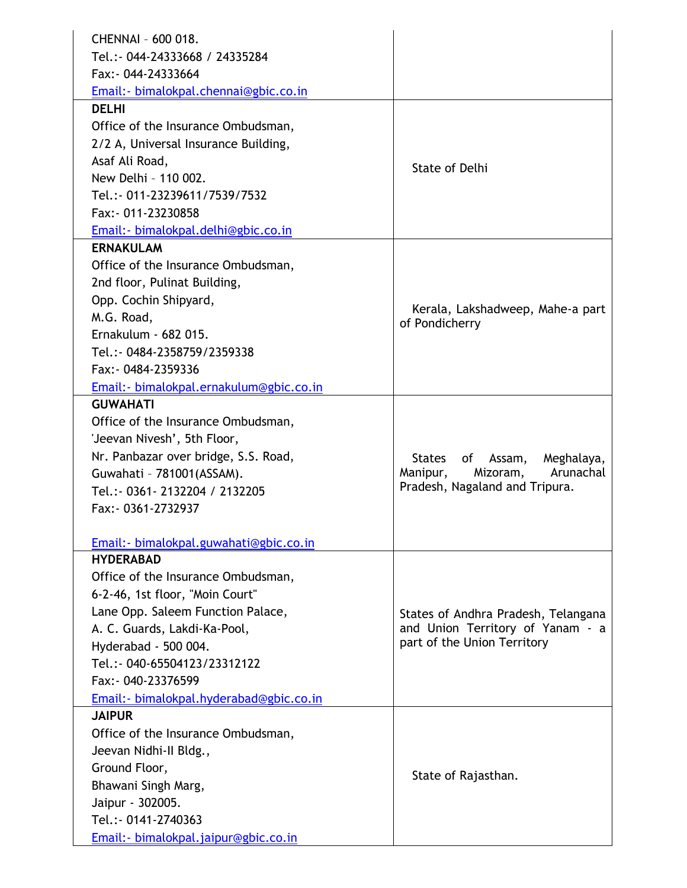| CHENNAI - 600 018.                                     |                                     |
|--------------------------------------------------------|-------------------------------------|
| Tel.: - 044-24333668 / 24335284                        |                                     |
| Fax: 044-24333664                                      |                                     |
|                                                        |                                     |
| Email: - bimalokpal.chennai@gbic.co.in<br><b>DELHI</b> |                                     |
|                                                        |                                     |
| Office of the Insurance Ombudsman,                     |                                     |
| 2/2 A, Universal Insurance Building,                   |                                     |
| Asaf Ali Road,                                         | <b>State of Delhi</b>               |
| New Delhi - 110 002.                                   |                                     |
| Tel.: - 011-23239611/7539/7532                         |                                     |
| Fax: - 011-23230858                                    |                                     |
| Email: - bimalokpal.delhi@gbic.co.in                   |                                     |
| <b>ERNAKULAM</b>                                       |                                     |
| Office of the Insurance Ombudsman,                     |                                     |
| 2nd floor, Pulinat Building,                           |                                     |
| Opp. Cochin Shipyard,                                  | Kerala, Lakshadweep, Mahe-a part    |
| M.G. Road,                                             | of Pondicherry                      |
| Ernakulum - 682 015.                                   |                                     |
| Tel.: - 0484-2358759/2359338                           |                                     |
| Fax: 0484-2359336                                      |                                     |
| Email:- bimalokpal.ernakulum@gbic.co.in                |                                     |
| <b>GUWAHATI</b>                                        |                                     |
| Office of the Insurance Ombudsman,                     |                                     |
| 'Jeevan Nivesh', 5th Floor,                            |                                     |
| Nr. Panbazar over bridge, S.S. Road,                   | States<br>of Assam,<br>Meghalaya,   |
| Guwahati - 781001 (ASSAM).                             | Arunachal<br>Manipur,<br>Mizoram,   |
| Tel.:- 0361-2132204 / 2132205                          | Pradesh, Nagaland and Tripura.      |
| Fax: - 0361-2732937                                    |                                     |
|                                                        |                                     |
| Email: - bimalokpal.guwahati@gbic.co.in                |                                     |
| <b>HYDERABAD</b>                                       |                                     |
| Office of the Insurance Ombudsman,                     |                                     |
| 6-2-46, 1st floor, "Moin Court"                        |                                     |
| Lane Opp. Saleem Function Palace,                      | States of Andhra Pradesh, Telangana |
| A. C. Guards, Lakdi-Ka-Pool,                           | and Union Territory of Yanam - a    |
| Hyderabad - 500 004.                                   | part of the Union Territory         |
| Tel.: - 040-65504123/23312122                          |                                     |
| Fax: - 040-23376599                                    |                                     |
| Email:- bimalokpal.hyderabad@gbic.co.in                |                                     |
| <b>JAIPUR</b>                                          |                                     |
| Office of the Insurance Ombudsman,                     |                                     |
| Jeevan Nidhi-II Bldg.,                                 |                                     |
| Ground Floor,                                          |                                     |
| Bhawani Singh Marg,                                    | State of Rajasthan.                 |
| Jaipur - 302005.                                       |                                     |
| Tel.: - 0141-2740363                                   |                                     |
| Email: - bimalokpal.jaipur@gbic.co.in                  |                                     |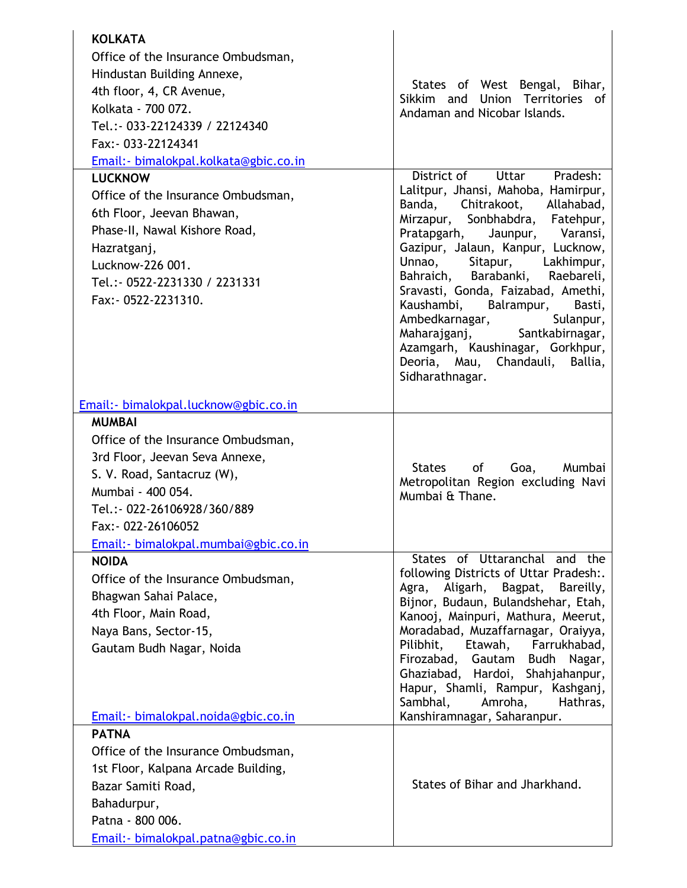| <b>KOLKATA</b><br>Office of the Insurance Ombudsman,<br>Hindustan Building Annexe,<br>4th floor, 4, CR Avenue,<br>Kolkata - 700 072.<br>Tel.: - 033-22124339 / 22124340<br>Fax: - 033-22124341<br>Email: - bimalokpal.kolkata@gbic.co.in | States of West Bengal, Bihar,<br>Sikkim and Union Territories of<br>Andaman and Nicobar Islands.                                                                                                                                                                                                                                                                                                                                                                                                                              |
|------------------------------------------------------------------------------------------------------------------------------------------------------------------------------------------------------------------------------------------|-------------------------------------------------------------------------------------------------------------------------------------------------------------------------------------------------------------------------------------------------------------------------------------------------------------------------------------------------------------------------------------------------------------------------------------------------------------------------------------------------------------------------------|
| <b>LUCKNOW</b><br>Office of the Insurance Ombudsman,<br>6th Floor, Jeevan Bhawan,<br>Phase-II, Nawal Kishore Road,<br>Hazratganj,<br>Lucknow-226 001.<br>Tel.:- 0522-2231330 / 2231331<br>Fax: - 0522-2231310.                           | District of<br>Uttar<br>Pradesh:<br>Lalitpur, Jhansi, Mahoba, Hamirpur,<br>Banda, Chitrakoot, Allahabad,<br>Mirzapur, Sonbhabdra, Fatehpur,<br>Pratapgarh, Jaunpur, Varansi,<br>Gazipur, Jalaun, Kanpur, Lucknow,<br>Unnao,<br>Sitapur, Lakhimpur,<br>Bahraich, Barabanki,<br>Raebareli,<br>Sravasti, Gonda, Faizabad, Amethi,<br>Kaushambi, Balrampur,<br>Basti,<br>Sulanpur,<br>Ambedkarnagar,<br>Maharajganj, Santkabirnagar,<br>Azamgarh, Kaushinagar, Gorkhpur,<br>Deoria, Mau, Chandauli,<br>Ballia,<br>Sidharathnagar. |
| Email:- bimalokpal.lucknow@gbic.co.in                                                                                                                                                                                                    |                                                                                                                                                                                                                                                                                                                                                                                                                                                                                                                               |
| <b>MUMBAI</b>                                                                                                                                                                                                                            |                                                                                                                                                                                                                                                                                                                                                                                                                                                                                                                               |
| Office of the Insurance Ombudsman,                                                                                                                                                                                                       |                                                                                                                                                                                                                                                                                                                                                                                                                                                                                                                               |
| 3rd Floor, Jeevan Seva Annexe,                                                                                                                                                                                                           | States<br>of<br>Goa,<br>Mumbai                                                                                                                                                                                                                                                                                                                                                                                                                                                                                                |
| S. V. Road, Santacruz (W),                                                                                                                                                                                                               | Metropolitan Region excluding Navi                                                                                                                                                                                                                                                                                                                                                                                                                                                                                            |
| Mumbai - 400 054.                                                                                                                                                                                                                        | Mumbai & Thane.                                                                                                                                                                                                                                                                                                                                                                                                                                                                                                               |
| Tel.:- 022-26106928/360/889                                                                                                                                                                                                              |                                                                                                                                                                                                                                                                                                                                                                                                                                                                                                                               |
| Fax: - 022-26106052                                                                                                                                                                                                                      |                                                                                                                                                                                                                                                                                                                                                                                                                                                                                                                               |
| Email: - bimalokpal.mumbai@gbic.co.in                                                                                                                                                                                                    | States of Uttaranchal and the                                                                                                                                                                                                                                                                                                                                                                                                                                                                                                 |
| <b>NOIDA</b><br>Office of the Insurance Ombudsman,<br>Bhagwan Sahai Palace,<br>4th Floor, Main Road,<br>Naya Bans, Sector-15,<br>Gautam Budh Nagar, Noida<br>Email:- bimalokpal.noida@gbic.co.in                                         | following Districts of Uttar Pradesh:.<br>Aligarh,<br>Bagpat, Bareilly,<br>Agra,<br>Bijnor, Budaun, Bulandshehar, Etah,<br>Kanooj, Mainpuri, Mathura, Meerut,<br>Moradabad, Muzaffarnagar, Oraiyya,<br>Pilibhit, Etawah, Farrukhabad,<br>Firozabad, Gautam Budh Nagar,<br>Ghaziabad, Hardoi, Shahjahanpur,<br>Hapur, Shamli, Rampur, Kashganj,<br>Sambhal, Amroha,<br>Hathras,<br>Kanshiramnagar, Saharanpur.                                                                                                                 |
| <b>PATNA</b>                                                                                                                                                                                                                             |                                                                                                                                                                                                                                                                                                                                                                                                                                                                                                                               |
| Office of the Insurance Ombudsman,                                                                                                                                                                                                       |                                                                                                                                                                                                                                                                                                                                                                                                                                                                                                                               |
| 1st Floor, Kalpana Arcade Building,                                                                                                                                                                                                      |                                                                                                                                                                                                                                                                                                                                                                                                                                                                                                                               |
| Bazar Samiti Road,                                                                                                                                                                                                                       | States of Bihar and Jharkhand.                                                                                                                                                                                                                                                                                                                                                                                                                                                                                                |
| Bahadurpur,                                                                                                                                                                                                                              |                                                                                                                                                                                                                                                                                                                                                                                                                                                                                                                               |
| Patna - 800 006.                                                                                                                                                                                                                         |                                                                                                                                                                                                                                                                                                                                                                                                                                                                                                                               |
| Email: - bimalokpal.patna@gbic.co.in                                                                                                                                                                                                     |                                                                                                                                                                                                                                                                                                                                                                                                                                                                                                                               |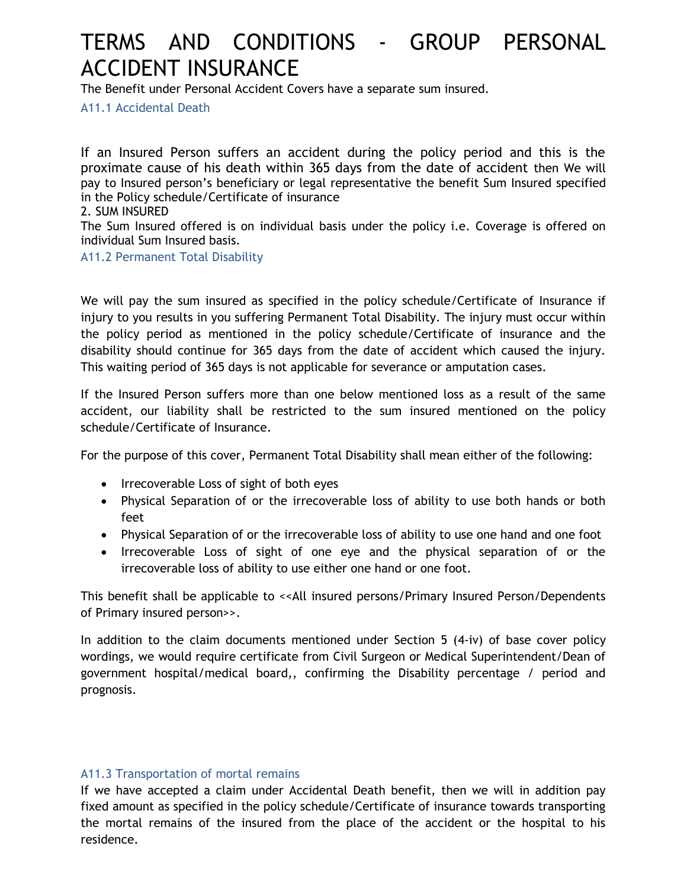# TERMS AND CONDITIONS - GROUP PERSONAL ACCIDENT INSURANCE

The Benefit under Personal Accident Covers have a separate sum insured.

A11.1 Accidental Death

If an Insured Person suffers an accident during the policy period and this is the proximate cause of his death within 365 days from the date of accident then We will pay to Insured person's beneficiary or legal representative the benefit Sum Insured specified in the Policy schedule/Certificate of insurance

2. SUM INSURED

The Sum Insured offered is on individual basis under the policy i.e. Coverage is offered on individual Sum Insured basis.

A11.2 Permanent Total Disability

We will pay the sum insured as specified in the policy schedule/Certificate of Insurance if injury to you results in you suffering Permanent Total Disability. The injury must occur within the policy period as mentioned in the policy schedule/Certificate of insurance and the disability should continue for 365 days from the date of accident which caused the injury. This waiting period of 365 days is not applicable for severance or amputation cases.

If the Insured Person suffers more than one below mentioned loss as a result of the same accident, our liability shall be restricted to the sum insured mentioned on the policy schedule/Certificate of Insurance.

For the purpose of this cover, Permanent Total Disability shall mean either of the following:

- Irrecoverable Loss of sight of both eyes
- Physical Separation of or the irrecoverable loss of ability to use both hands or both feet
- Physical Separation of or the irrecoverable loss of ability to use one hand and one foot
- Irrecoverable Loss of sight of one eye and the physical separation of or the irrecoverable loss of ability to use either one hand or one foot.

This benefit shall be applicable to << All insured persons/Primary Insured Person/Dependents of Primary insured person>>.

In addition to the claim documents mentioned under Section 5 (4-iv) of base cover policy wordings, we would require certificate from Civil Surgeon or Medical Superintendent/Dean of government hospital/medical board*,*, confirming the Disability percentage / period and prognosis.

#### A11.3 Transportation of mortal remains

If we have accepted a claim under Accidental Death benefit, then we will in addition pay fixed amount as specified in the policy schedule/Certificate of insurance towards transporting the mortal remains of the insured from the place of the accident or the hospital to his residence.